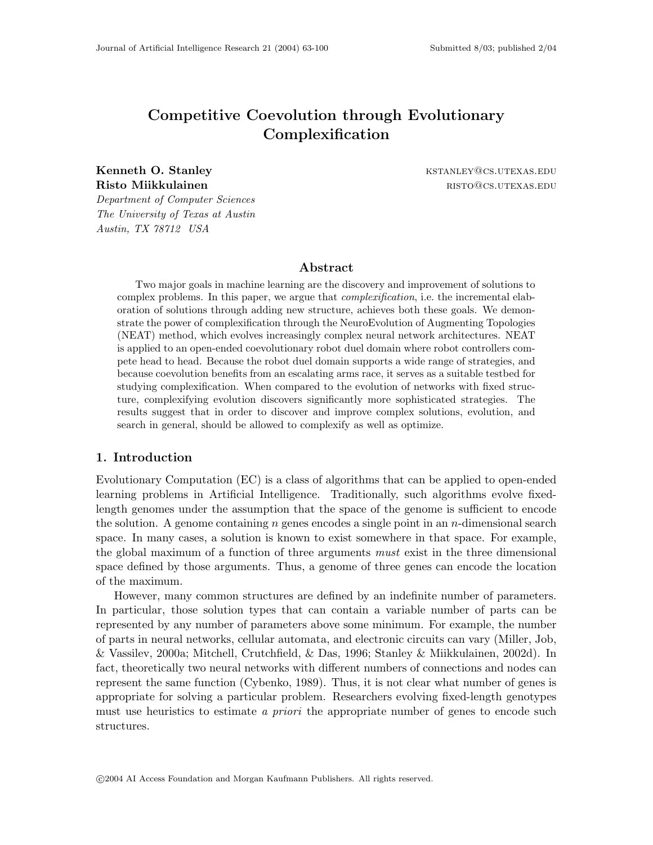# Competitive Coevolution through Evolutionary Complexification

Kenneth O. Stanley **Kenneth O. Stanley Community** KSTANLEY @CS.UTEXAS.EDU

Risto Miikkulainen ristoriaan ristoriaan ristoriaan ristoriaan ristoriaan ristoriaan ristoriaan ristoriaan rist

Department of Computer Sciences The University of Texas at Austin Austin, TX 78712 USA

### Abstract

Two major goals in machine learning are the discovery and improvement of solutions to complex problems. In this paper, we argue that *complexification*, i.e. the incremental elaboration of solutions through adding new structure, achieves both these goals. We demonstrate the power of complexification through the NeuroEvolution of Augmenting Topologies (NEAT) method, which evolves increasingly complex neural network architectures. NEAT is applied to an open-ended coevolutionary robot duel domain where robot controllers compete head to head. Because the robot duel domain supports a wide range of strategies, and because coevolution benefits from an escalating arms race, it serves as a suitable testbed for studying complexification. When compared to the evolution of networks with fixed structure, complexifying evolution discovers significantly more sophisticated strategies. The results suggest that in order to discover and improve complex solutions, evolution, and search in general, should be allowed to complexify as well as optimize.

### 1. Introduction

Evolutionary Computation (EC) is a class of algorithms that can be applied to open-ended learning problems in Artificial Intelligence. Traditionally, such algorithms evolve fixedlength genomes under the assumption that the space of the genome is sufficient to encode the solution. A genome containing n genes encodes a single point in an n-dimensional search space. In many cases, a solution is known to exist somewhere in that space. For example, the global maximum of a function of three arguments must exist in the three dimensional space defined by those arguments. Thus, a genome of three genes can encode the location of the maximum.

However, many common structures are defined by an indefinite number of parameters. In particular, those solution types that can contain a variable number of parts can be represented by any number of parameters above some minimum. For example, the number of parts in neural networks, cellular automata, and electronic circuits can vary (Miller, Job, & Vassilev, 2000a; Mitchell, Crutchfield, & Das, 1996; Stanley & Miikkulainen, 2002d). In fact, theoretically two neural networks with different numbers of connections and nodes can represent the same function (Cybenko, 1989). Thus, it is not clear what number of genes is appropriate for solving a particular problem. Researchers evolving fixed-length genotypes must use heuristics to estimate a priori the appropriate number of genes to encode such structures.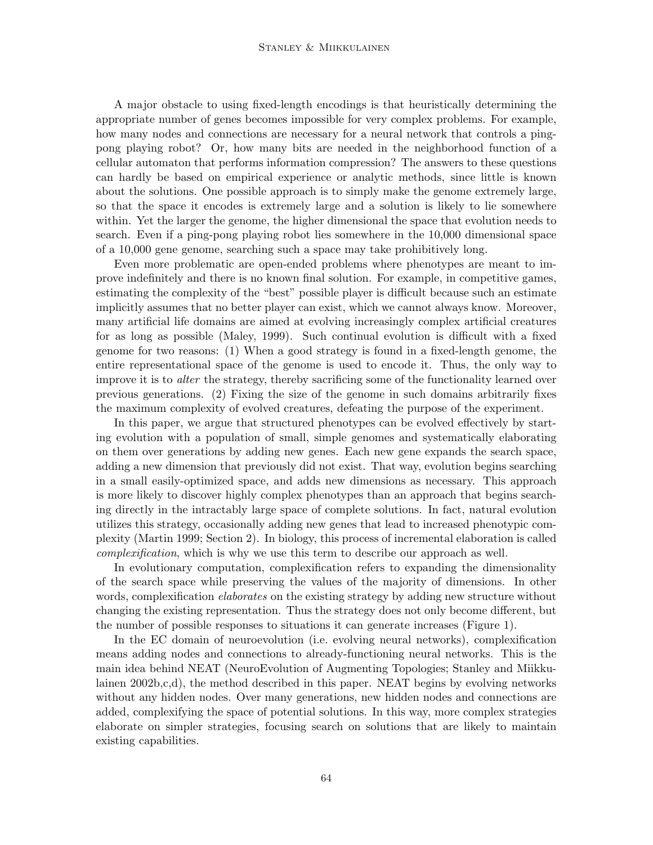A major obstacle to using fixed-length encodings is that heuristically determining the appropriate number of genes becomes impossible for very complex problems. For example, how many nodes and connections are necessary for a neural network that controls a pingpong playing robot? Or, how many bits are needed in the neighborhood function of a cellular automaton that performs information compression? The answers to these questions can hardly be based on empirical experience or analytic methods, since little is known about the solutions. One possible approach is to simply make the genome extremely large, so that the space it encodes is extremely large and a solution is likely to lie somewhere within. Yet the larger the genome, the higher dimensional the space that evolution needs to search. Even if a ping-pong playing robot lies somewhere in the 10,000 dimensional space of a 10,000 gene genome, searching such a space may take prohibitively long.

Even more problematic are open-ended problems where phenotypes are meant to improve indefinitely and there is no known final solution. For example, in competitive games, estimating the complexity of the "best" possible player is difficult because such an estimate implicitly assumes that no better player can exist, which we cannot always know. Moreover, many artificial life domains are aimed at evolving increasingly complex artificial creatures for as long as possible (Maley, 1999). Such continual evolution is difficult with a fixed genome for two reasons: (1) When a good strategy is found in a fixed-length genome, the entire representational space of the genome is used to encode it. Thus, the only way to improve it is to *alter* the strategy, thereby sacrificing some of the functionality learned over previous generations. (2) Fixing the size of the genome in such domains arbitrarily fixes the maximum complexity of evolved creatures, defeating the purpose of the experiment.

In this paper, we argue that structured phenotypes can be evolved effectively by starting evolution with a population of small, simple genomes and systematically elaborating on them over generations by adding new genes. Each new gene expands the search space, adding a new dimension that previously did not exist. That way, evolution begins searching in a small easily-optimized space, and adds new dimensions as necessary. This approach is more likely to discover highly complex phenotypes than an approach that begins searching directly in the intractably large space of complete solutions. In fact, natural evolution utilizes this strategy, occasionally adding new genes that lead to increased phenotypic complexity (Martin 1999; Section 2). In biology, this process of incremental elaboration is called complexification, which is why we use this term to describe our approach as well.

In evolutionary computation, complexification refers to expanding the dimensionality of the search space while preserving the values of the majority of dimensions. In other words, complexification *elaborates* on the existing strategy by adding new structure without changing the existing representation. Thus the strategy does not only become different, but the number of possible responses to situations it can generate increases (Figure 1).

In the EC domain of neuroevolution (i.e. evolving neural networks), complexification means adding nodes and connections to already-functioning neural networks. This is the main idea behind NEAT (NeuroEvolution of Augmenting Topologies; Stanley and Miikkulainen 2002b,c,d), the method described in this paper. NEAT begins by evolving networks without any hidden nodes. Over many generations, new hidden nodes and connections are added, complexifying the space of potential solutions. In this way, more complex strategies elaborate on simpler strategies, focusing search on solutions that are likely to maintain existing capabilities.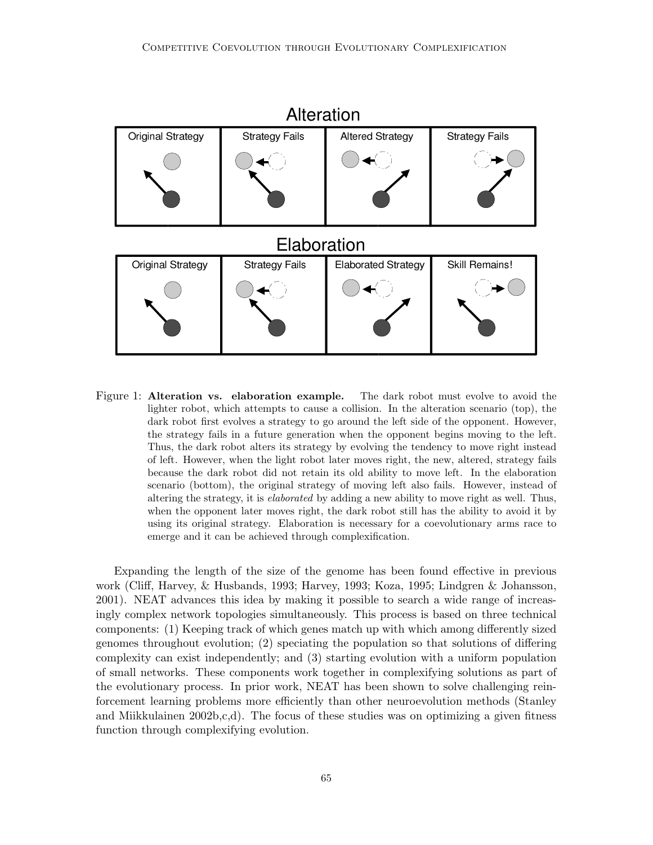

Figure 1: **Alteration vs.** elaboration example. The dark robot must evolve to avoid the lighter robot, which attempts to cause a collision. In the alteration scenario (top), the dark robot first evolves a strategy to go around the left side of the opponent. However, the strategy fails in a future generation when the opponent begins moving to the left. Thus, the dark robot alters its strategy by evolving the tendency to move right instead of left. However, when the light robot later moves right, the new, altered, strategy fails because the dark robot did not retain its old ability to move left. In the elaboration scenario (bottom), the original strategy of moving left also fails. However, instead of altering the strategy, it is *elaborated* by adding a new ability to move right as well. Thus, when the opponent later moves right, the dark robot still has the ability to avoid it by using its original strategy. Elaboration is necessary for a coevolutionary arms race to emerge and it can be achieved through complexification.

Expanding the length of the size of the genome has been found effective in previous work (Cliff, Harvey, & Husbands, 1993; Harvey, 1993; Koza, 1995; Lindgren & Johansson, 2001). NEAT advances this idea by making it possible to search a wide range of increasingly complex network topologies simultaneously. This process is based on three technical components: (1) Keeping track of which genes match up with which among differently sized genomes throughout evolution; (2) speciating the population so that solutions of differing complexity can exist independently; and (3) starting evolution with a uniform population of small networks. These components work together in complexifying solutions as part of the evolutionary process. In prior work, NEAT has been shown to solve challenging reinforcement learning problems more efficiently than other neuroevolution methods (Stanley and Miikkulainen 2002b,c,d). The focus of these studies was on optimizing a given fitness function through complexifying evolution.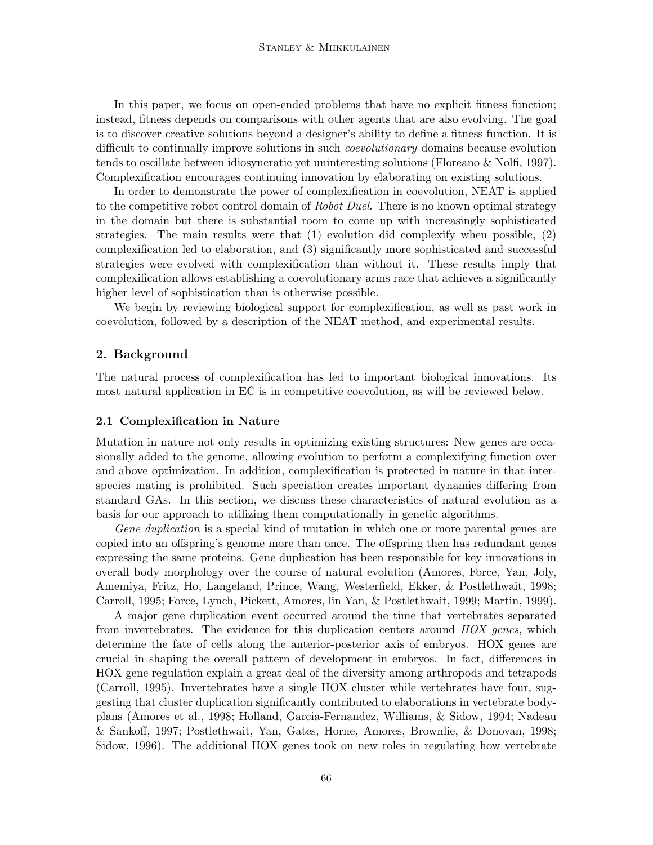In this paper, we focus on open-ended problems that have no explicit fitness function; instead, fitness depends on comparisons with other agents that are also evolving. The goal is to discover creative solutions beyond a designer's ability to define a fitness function. It is difficult to continually improve solutions in such *coevolutionary* domains because evolution tends to oscillate between idiosyncratic yet uninteresting solutions (Floreano & Nolfi, 1997). Complexification encourages continuing innovation by elaborating on existing solutions.

In order to demonstrate the power of complexification in coevolution, NEAT is applied to the competitive robot control domain of Robot Duel. There is no known optimal strategy in the domain but there is substantial room to come up with increasingly sophisticated strategies. The main results were that (1) evolution did complexify when possible, (2) complexification led to elaboration, and (3) significantly more sophisticated and successful strategies were evolved with complexification than without it. These results imply that complexification allows establishing a coevolutionary arms race that achieves a significantly higher level of sophistication than is otherwise possible.

We begin by reviewing biological support for complexification, as well as past work in coevolution, followed by a description of the NEAT method, and experimental results.

### 2. Background

The natural process of complexification has led to important biological innovations. Its most natural application in EC is in competitive coevolution, as will be reviewed below.

#### 2.1 Complexification in Nature

Mutation in nature not only results in optimizing existing structures: New genes are occasionally added to the genome, allowing evolution to perform a complexifying function over and above optimization. In addition, complexification is protected in nature in that interspecies mating is prohibited. Such speciation creates important dynamics differing from standard GAs. In this section, we discuss these characteristics of natural evolution as a basis for our approach to utilizing them computationally in genetic algorithms.

Gene duplication is a special kind of mutation in which one or more parental genes are copied into an offspring's genome more than once. The offspring then has redundant genes expressing the same proteins. Gene duplication has been responsible for key innovations in overall body morphology over the course of natural evolution (Amores, Force, Yan, Joly, Amemiya, Fritz, Ho, Langeland, Prince, Wang, Westerfield, Ekker, & Postlethwait, 1998; Carroll, 1995; Force, Lynch, Pickett, Amores, lin Yan, & Postlethwait, 1999; Martin, 1999).

A major gene duplication event occurred around the time that vertebrates separated from invertebrates. The evidence for this duplication centers around  $HOX$  genes, which determine the fate of cells along the anterior-posterior axis of embryos. HOX genes are crucial in shaping the overall pattern of development in embryos. In fact, differences in HOX gene regulation explain a great deal of the diversity among arthropods and tetrapods (Carroll, 1995). Invertebrates have a single HOX cluster while vertebrates have four, suggesting that cluster duplication significantly contributed to elaborations in vertebrate bodyplans (Amores et al., 1998; Holland, Garcia-Fernandez, Williams, & Sidow, 1994; Nadeau & Sankoff, 1997; Postlethwait, Yan, Gates, Horne, Amores, Brownlie, & Donovan, 1998; Sidow, 1996). The additional HOX genes took on new roles in regulating how vertebrate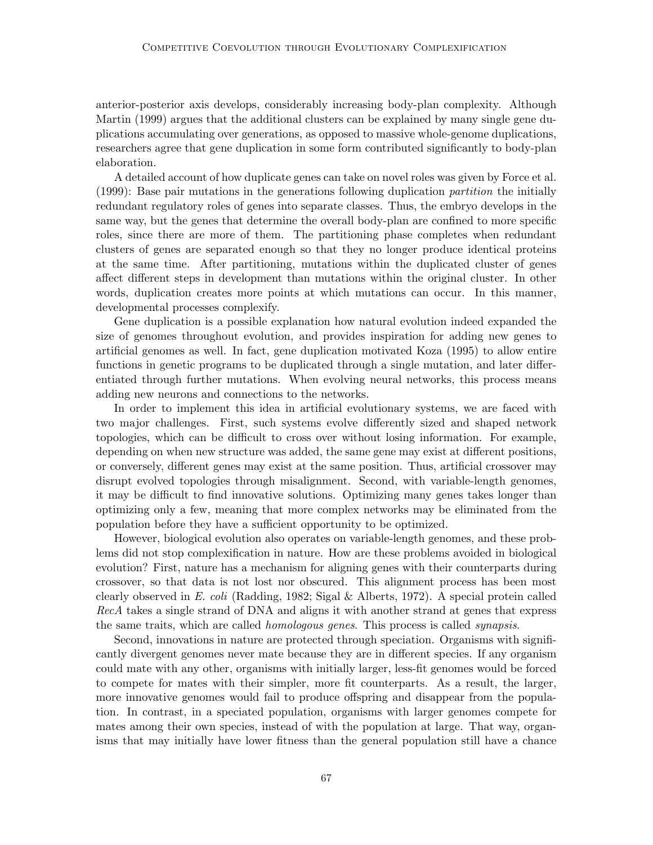anterior-posterior axis develops, considerably increasing body-plan complexity. Although Martin (1999) argues that the additional clusters can be explained by many single gene duplications accumulating over generations, as opposed to massive whole-genome duplications, researchers agree that gene duplication in some form contributed significantly to body-plan elaboration.

A detailed account of how duplicate genes can take on novel roles was given by Force et al. (1999): Base pair mutations in the generations following duplication partition the initially redundant regulatory roles of genes into separate classes. Thus, the embryo develops in the same way, but the genes that determine the overall body-plan are confined to more specific roles, since there are more of them. The partitioning phase completes when redundant clusters of genes are separated enough so that they no longer produce identical proteins at the same time. After partitioning, mutations within the duplicated cluster of genes affect different steps in development than mutations within the original cluster. In other words, duplication creates more points at which mutations can occur. In this manner, developmental processes complexify.

Gene duplication is a possible explanation how natural evolution indeed expanded the size of genomes throughout evolution, and provides inspiration for adding new genes to artificial genomes as well. In fact, gene duplication motivated Koza (1995) to allow entire functions in genetic programs to be duplicated through a single mutation, and later differentiated through further mutations. When evolving neural networks, this process means adding new neurons and connections to the networks.

In order to implement this idea in artificial evolutionary systems, we are faced with two major challenges. First, such systems evolve differently sized and shaped network topologies, which can be difficult to cross over without losing information. For example, depending on when new structure was added, the same gene may exist at different positions, or conversely, different genes may exist at the same position. Thus, artificial crossover may disrupt evolved topologies through misalignment. Second, with variable-length genomes, it may be difficult to find innovative solutions. Optimizing many genes takes longer than optimizing only a few, meaning that more complex networks may be eliminated from the population before they have a sufficient opportunity to be optimized.

However, biological evolution also operates on variable-length genomes, and these problems did not stop complexification in nature. How are these problems avoided in biological evolution? First, nature has a mechanism for aligning genes with their counterparts during crossover, so that data is not lost nor obscured. This alignment process has been most clearly observed in E. coli (Radding, 1982; Sigal & Alberts, 1972). A special protein called RecA takes a single strand of DNA and aligns it with another strand at genes that express the same traits, which are called *homologous genes*. This process is called *synapsis*.

Second, innovations in nature are protected through speciation. Organisms with significantly divergent genomes never mate because they are in different species. If any organism could mate with any other, organisms with initially larger, less-fit genomes would be forced to compete for mates with their simpler, more fit counterparts. As a result, the larger, more innovative genomes would fail to produce offspring and disappear from the population. In contrast, in a speciated population, organisms with larger genomes compete for mates among their own species, instead of with the population at large. That way, organisms that may initially have lower fitness than the general population still have a chance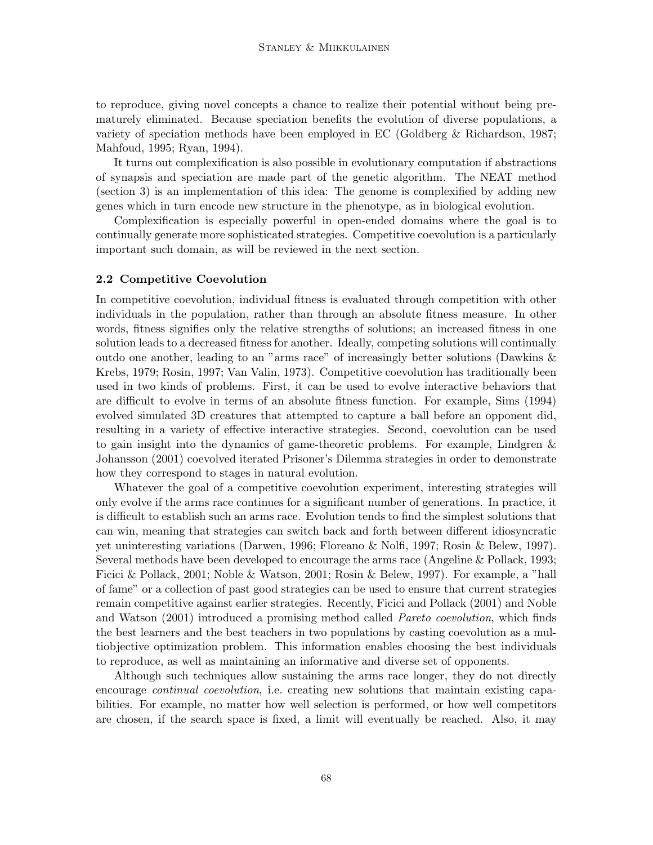to reproduce, giving novel concepts a chance to realize their potential without being prematurely eliminated. Because speciation benefits the evolution of diverse populations, a variety of speciation methods have been employed in EC (Goldberg & Richardson, 1987; Mahfoud, 1995; Ryan, 1994).

It turns out complexification is also possible in evolutionary computation if abstractions of synapsis and speciation are made part of the genetic algorithm. The NEAT method (section 3) is an implementation of this idea: The genome is complexified by adding new genes which in turn encode new structure in the phenotype, as in biological evolution.

Complexification is especially powerful in open-ended domains where the goal is to continually generate more sophisticated strategies. Competitive coevolution is a particularly important such domain, as will be reviewed in the next section.

#### 2.2 Competitive Coevolution

In competitive coevolution, individual fitness is evaluated through competition with other individuals in the population, rather than through an absolute fitness measure. In other words, fitness signifies only the relative strengths of solutions; an increased fitness in one solution leads to a decreased fitness for another. Ideally, competing solutions will continually outdo one another, leading to an "arms race" of increasingly better solutions (Dawkins & Krebs, 1979; Rosin, 1997; Van Valin, 1973). Competitive coevolution has traditionally been used in two kinds of problems. First, it can be used to evolve interactive behaviors that are difficult to evolve in terms of an absolute fitness function. For example, Sims (1994) evolved simulated 3D creatures that attempted to capture a ball before an opponent did, resulting in a variety of effective interactive strategies. Second, coevolution can be used to gain insight into the dynamics of game-theoretic problems. For example, Lindgren & Johansson (2001) coevolved iterated Prisoner's Dilemma strategies in order to demonstrate how they correspond to stages in natural evolution.

Whatever the goal of a competitive coevolution experiment, interesting strategies will only evolve if the arms race continues for a significant number of generations. In practice, it is difficult to establish such an arms race. Evolution tends to find the simplest solutions that can win, meaning that strategies can switch back and forth between different idiosyncratic yet uninteresting variations (Darwen, 1996; Floreano & Nolfi, 1997; Rosin & Belew, 1997). Several methods have been developed to encourage the arms race (Angeline & Pollack, 1993; Ficici & Pollack, 2001; Noble & Watson, 2001; Rosin & Belew, 1997). For example, a "hall of fame" or a collection of past good strategies can be used to ensure that current strategies remain competitive against earlier strategies. Recently, Ficici and Pollack (2001) and Noble and Watson (2001) introduced a promising method called Pareto coevolution, which finds the best learners and the best teachers in two populations by casting coevolution as a multiobjective optimization problem. This information enables choosing the best individuals to reproduce, as well as maintaining an informative and diverse set of opponents.

Although such techniques allow sustaining the arms race longer, they do not directly encourage *continual coevolution*, i.e. creating new solutions that maintain existing capabilities. For example, no matter how well selection is performed, or how well competitors are chosen, if the search space is fixed, a limit will eventually be reached. Also, it may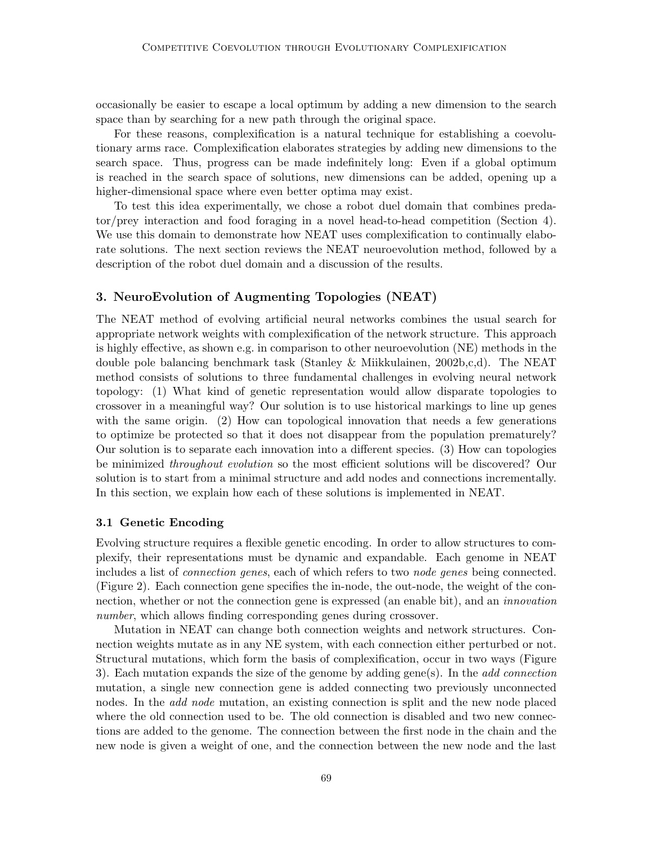occasionally be easier to escape a local optimum by adding a new dimension to the search space than by searching for a new path through the original space.

For these reasons, complexification is a natural technique for establishing a coevolutionary arms race. Complexification elaborates strategies by adding new dimensions to the search space. Thus, progress can be made indefinitely long: Even if a global optimum is reached in the search space of solutions, new dimensions can be added, opening up a higher-dimensional space where even better optima may exist.

To test this idea experimentally, we chose a robot duel domain that combines predator/prey interaction and food foraging in a novel head-to-head competition (Section 4). We use this domain to demonstrate how NEAT uses complexification to continually elaborate solutions. The next section reviews the NEAT neuroevolution method, followed by a description of the robot duel domain and a discussion of the results.

### 3. NeuroEvolution of Augmenting Topologies (NEAT)

The NEAT method of evolving artificial neural networks combines the usual search for appropriate network weights with complexification of the network structure. This approach is highly effective, as shown e.g. in comparison to other neuroevolution (NE) methods in the double pole balancing benchmark task (Stanley & Miikkulainen, 2002b,c,d). The NEAT method consists of solutions to three fundamental challenges in evolving neural network topology: (1) What kind of genetic representation would allow disparate topologies to crossover in a meaningful way? Our solution is to use historical markings to line up genes with the same origin. (2) How can topological innovation that needs a few generations to optimize be protected so that it does not disappear from the population prematurely? Our solution is to separate each innovation into a different species. (3) How can topologies be minimized throughout evolution so the most efficient solutions will be discovered? Our solution is to start from a minimal structure and add nodes and connections incrementally. In this section, we explain how each of these solutions is implemented in NEAT.

#### 3.1 Genetic Encoding

Evolving structure requires a flexible genetic encoding. In order to allow structures to complexify, their representations must be dynamic and expandable. Each genome in NEAT includes a list of connection genes, each of which refers to two node genes being connected. (Figure 2). Each connection gene specifies the in-node, the out-node, the weight of the connection, whether or not the connection gene is expressed (an enable bit), and an innovation number, which allows finding corresponding genes during crossover.

Mutation in NEAT can change both connection weights and network structures. Connection weights mutate as in any NE system, with each connection either perturbed or not. Structural mutations, which form the basis of complexification, occur in two ways (Figure 3). Each mutation expands the size of the genome by adding gene(s). In the *add connection* mutation, a single new connection gene is added connecting two previously unconnected nodes. In the *add node* mutation, an existing connection is split and the new node placed where the old connection used to be. The old connection is disabled and two new connections are added to the genome. The connection between the first node in the chain and the new node is given a weight of one, and the connection between the new node and the last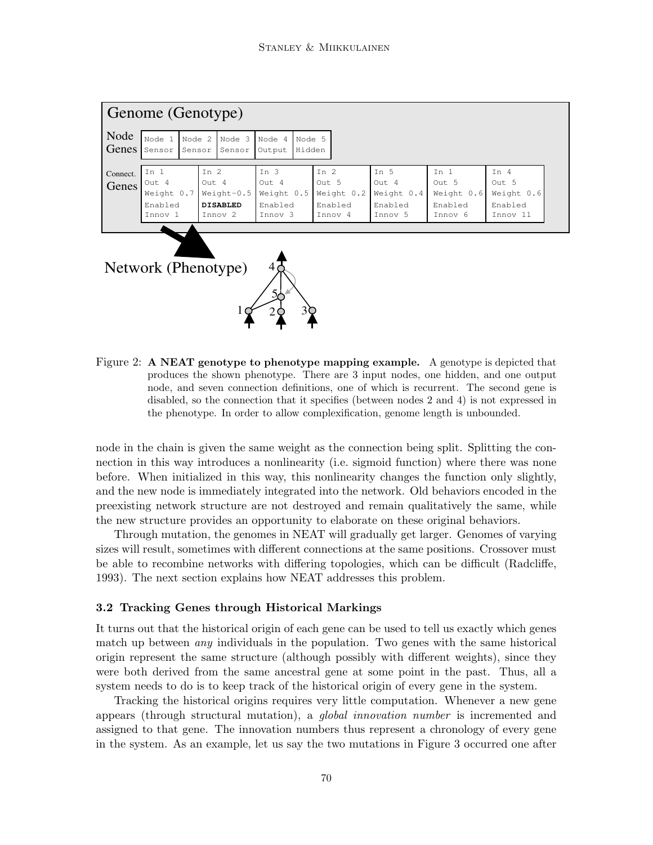| Genome (Genotype)         |                                                   |                  |                                                                          |                                                                |                                                     |                                                   |                                                   |                                                      |  |  |  |
|---------------------------|---------------------------------------------------|------------------|--------------------------------------------------------------------------|----------------------------------------------------------------|-----------------------------------------------------|---------------------------------------------------|---------------------------------------------------|------------------------------------------------------|--|--|--|
| Node<br>Genes             | Node 1<br>Sensor                                  | Node 2<br>Sensor | Node 3<br>Sensor                                                         | Node 4<br>Node 5<br>Hidden<br>Output                           |                                                     |                                                   |                                                   |                                                      |  |  |  |
| Connect.<br>Genes         | In 1<br>Out 4<br>Weight 0.7<br>Enabled<br>Innov 1 |                  | In $2$<br>Out 4<br>$Weight-0.5$<br><b>DISABLED</b><br>Innov <sub>2</sub> | In $3$<br>Out 4<br>Weight 0.5<br>Enabled<br>Innov <sub>3</sub> | In $2$<br>Out 5<br>Weight 0.2<br>Enabled<br>Innov 4 | In 5<br>Out 4<br>Weight 0.4<br>Enabled<br>Innov 5 | In 1<br>Out 5<br>Weight 0.6<br>Enabled<br>Innov 6 | In $4$<br>Out 5<br>Weight 0.6<br>Enabled<br>Innov 11 |  |  |  |
| Network (Phenotype)<br>5ċ |                                                   |                  |                                                                          |                                                                |                                                     |                                                   |                                                   |                                                      |  |  |  |

Figure 2: A NEAT genotype to phenotype mapping example. A genotype is depicted that produces the shown phenotype. There are 3 input nodes, one hidden, and one output node, and seven connection definitions, one of which is recurrent. The second gene is disabled, so the connection that it specifies (between nodes 2 and 4) is not expressed in the phenotype. In order to allow complexification, genome length is unbounded.

 $10 \times 20 = 3$ 

node in the chain is given the same weight as the connection being split. Splitting the connection in this way introduces a nonlinearity (i.e. sigmoid function) where there was none before. When initialized in this way, this nonlinearity changes the function only slightly, and the new node is immediately integrated into the network. Old behaviors encoded in the preexisting network structure are not destroyed and remain qualitatively the same, while the new structure provides an opportunity to elaborate on these original behaviors.

Through mutation, the genomes in NEAT will gradually get larger. Genomes of varying sizes will result, sometimes with different connections at the same positions. Crossover must be able to recombine networks with differing topologies, which can be difficult (Radcliffe, 1993). The next section explains how NEAT addresses this problem.

#### 3.2 Tracking Genes through Historical Markings

It turns out that the historical origin of each gene can be used to tell us exactly which genes match up between *any* individuals in the population. Two genes with the same historical origin represent the same structure (although possibly with different weights), since they were both derived from the same ancestral gene at some point in the past. Thus, all a system needs to do is to keep track of the historical origin of every gene in the system.

Tracking the historical origins requires very little computation. Whenever a new gene appears (through structural mutation), a global innovation number is incremented and assigned to that gene. The innovation numbers thus represent a chronology of every gene in the system. As an example, let us say the two mutations in Figure 3 occurred one after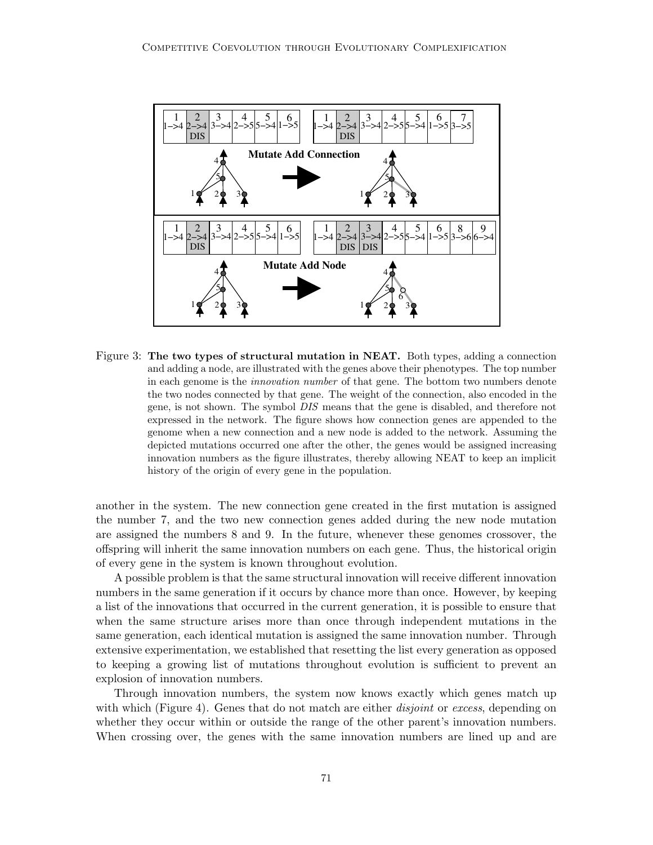

Figure 3: The two types of structural mutation in NEAT. Both types, adding a connection and adding a node, are illustrated with the genes above their phenotypes. The top number in each genome is the innovation number of that gene. The bottom two numbers denote the two nodes connected by that gene. The weight of the connection, also encoded in the gene, is not shown. The symbol DIS means that the gene is disabled, and therefore not expressed in the network. The figure shows how connection genes are appended to the genome when a new connection and a new node is added to the network. Assuming the depicted mutations occurred one after the other, the genes would be assigned increasing innovation numbers as the figure illustrates, thereby allowing NEAT to keep an implicit history of the origin of every gene in the population.

another in the system. The new connection gene created in the first mutation is assigned the number 7, and the two new connection genes added during the new node mutation are assigned the numbers 8 and 9. In the future, whenever these genomes crossover, the offspring will inherit the same innovation numbers on each gene. Thus, the historical origin of every gene in the system is known throughout evolution.

A possible problem is that the same structural innovation will receive different innovation numbers in the same generation if it occurs by chance more than once. However, by keeping a list of the innovations that occurred in the current generation, it is possible to ensure that when the same structure arises more than once through independent mutations in the same generation, each identical mutation is assigned the same innovation number. Through extensive experimentation, we established that resetting the list every generation as opposed to keeping a growing list of mutations throughout evolution is sufficient to prevent an explosion of innovation numbers.

Through innovation numbers, the system now knows exactly which genes match up with which (Figure 4). Genes that do not match are either *disjoint* or excess, depending on whether they occur within or outside the range of the other parent's innovation numbers. When crossing over, the genes with the same innovation numbers are lined up and are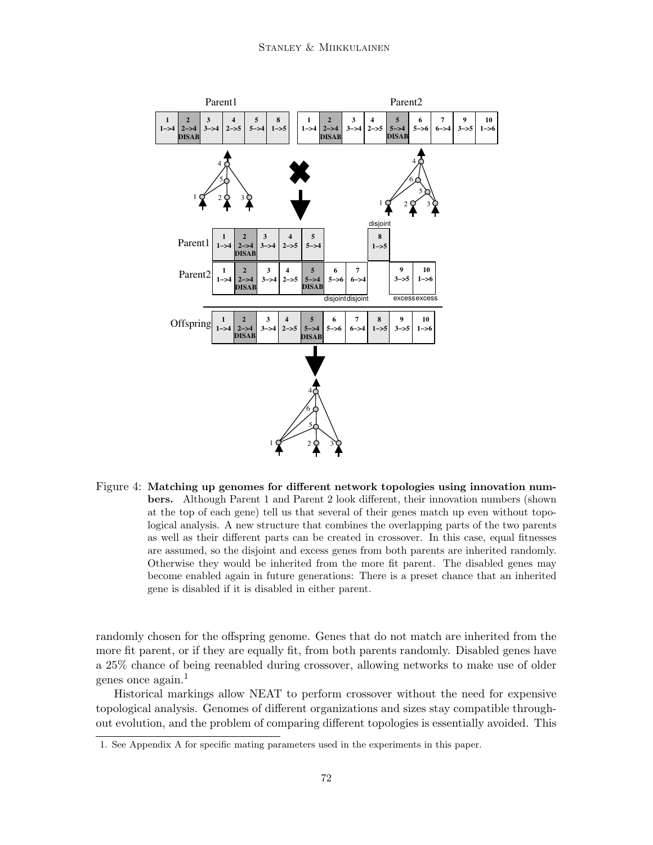

Figure 4: Matching up genomes for different network topologies using innovation numbers. Although Parent 1 and Parent 2 look different, their innovation numbers (shown at the top of each gene) tell us that several of their genes match up even without topological analysis. A new structure that combines the overlapping parts of the two parents as well as their different parts can be created in crossover. In this case, equal fitnesses are assumed, so the disjoint and excess genes from both parents are inherited randomly. Otherwise they would be inherited from the more fit parent. The disabled genes may become enabled again in future generations: There is a preset chance that an inherited gene is disabled if it is disabled in either parent.

randomly chosen for the offspring genome. Genes that do not match are inherited from the more fit parent, or if they are equally fit, from both parents randomly. Disabled genes have a 25% chance of being reenabled during crossover, allowing networks to make use of older genes once again.<sup>1</sup>

Historical markings allow NEAT to perform crossover without the need for expensive topological analysis. Genomes of different organizations and sizes stay compatible throughout evolution, and the problem of comparing different topologies is essentially avoided. This

<sup>1.</sup> See Appendix A for specific mating parameters used in the experiments in this paper.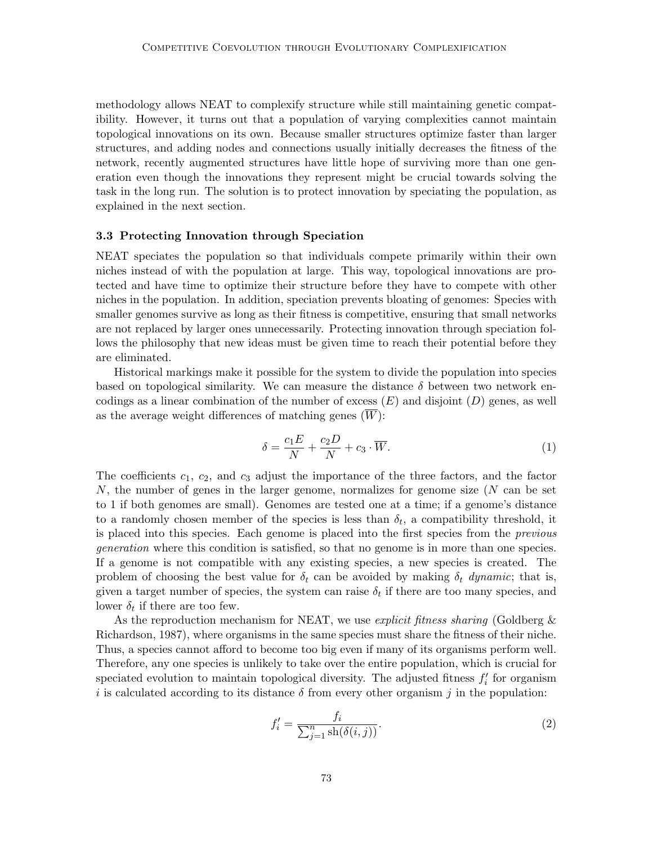methodology allows NEAT to complexify structure while still maintaining genetic compatibility. However, it turns out that a population of varying complexities cannot maintain topological innovations on its own. Because smaller structures optimize faster than larger structures, and adding nodes and connections usually initially decreases the fitness of the network, recently augmented structures have little hope of surviving more than one generation even though the innovations they represent might be crucial towards solving the task in the long run. The solution is to protect innovation by speciating the population, as explained in the next section.

#### 3.3 Protecting Innovation through Speciation

NEAT speciates the population so that individuals compete primarily within their own niches instead of with the population at large. This way, topological innovations are protected and have time to optimize their structure before they have to compete with other niches in the population. In addition, speciation prevents bloating of genomes: Species with smaller genomes survive as long as their fitness is competitive, ensuring that small networks are not replaced by larger ones unnecessarily. Protecting innovation through speciation follows the philosophy that new ideas must be given time to reach their potential before they are eliminated.

Historical markings make it possible for the system to divide the population into species based on topological similarity. We can measure the distance  $\delta$  between two network encodings as a linear combination of the number of excess  $(E)$  and disjoint  $(D)$  genes, as well as the average weight differences of matching genes  $(\overline{W})$ :

$$
\delta = \frac{c_1 E}{N} + \frac{c_2 D}{N} + c_3 \cdot \overline{W}.\tag{1}
$$

The coefficients  $c_1$ ,  $c_2$ , and  $c_3$  adjust the importance of the three factors, and the factor N, the number of genes in the larger genome, normalizes for genome size (N can be set to 1 if both genomes are small). Genomes are tested one at a time; if a genome's distance to a randomly chosen member of the species is less than  $\delta_t$ , a compatibility threshold, it is placed into this species. Each genome is placed into the first species from the previous generation where this condition is satisfied, so that no genome is in more than one species. If a genome is not compatible with any existing species, a new species is created. The problem of choosing the best value for  $\delta_t$  can be avoided by making  $\delta_t$  dynamic; that is, given a target number of species, the system can raise  $\delta_t$  if there are too many species, and lower  $\delta_t$  if there are too few.

As the reproduction mechanism for NEAT, we use *explicit fitness sharing* (Goldberg  $\&$ Richardson, 1987), where organisms in the same species must share the fitness of their niche. Thus, a species cannot afford to become too big even if many of its organisms perform well. Therefore, any one species is unlikely to take over the entire population, which is crucial for speciated evolution to maintain topological diversity. The adjusted fitness  $f_i'$  for organism i is calculated according to its distance  $\delta$  from every other organism j in the population:

$$
f_i' = \frac{f_i}{\sum_{j=1}^n \operatorname{sh}(\delta(i,j))}.
$$
\n(2)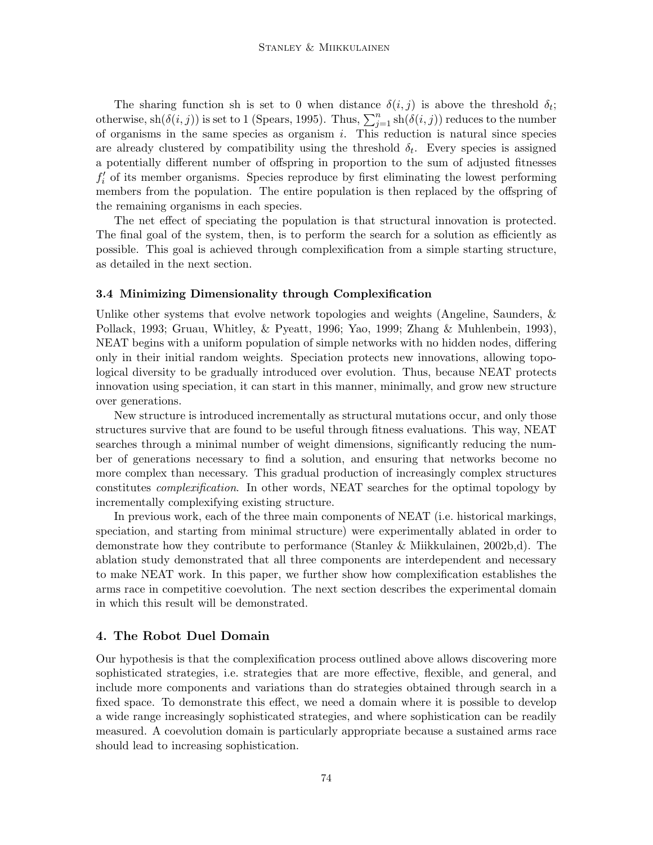The sharing function sh is set to 0 when distance  $\delta(i, j)$  is above the threshold  $\delta_i$ ; otherwise,  $\operatorname{sh}(\delta(i,j))$  is set to 1 (Spears, 1995). Thus,  $\sum_{j=1}^{n} \operatorname{sh}(\delta(i,j))$  reduces to the number of organisms in the same species as organism  $i$ . This reduction is natural since species are already clustered by compatibility using the threshold  $\delta_t$ . Every species is assigned a potentially different number of offspring in proportion to the sum of adjusted fitnesses  $f'_{i}$  of its member organisms. Species reproduce by first eliminating the lowest performing members from the population. The entire population is then replaced by the offspring of the remaining organisms in each species.

The net effect of speciating the population is that structural innovation is protected. The final goal of the system, then, is to perform the search for a solution as efficiently as possible. This goal is achieved through complexification from a simple starting structure, as detailed in the next section.

#### 3.4 Minimizing Dimensionality through Complexification

Unlike other systems that evolve network topologies and weights (Angeline, Saunders, & Pollack, 1993; Gruau, Whitley, & Pyeatt, 1996; Yao, 1999; Zhang & Muhlenbein, 1993), NEAT begins with a uniform population of simple networks with no hidden nodes, differing only in their initial random weights. Speciation protects new innovations, allowing topological diversity to be gradually introduced over evolution. Thus, because NEAT protects innovation using speciation, it can start in this manner, minimally, and grow new structure over generations.

New structure is introduced incrementally as structural mutations occur, and only those structures survive that are found to be useful through fitness evaluations. This way, NEAT searches through a minimal number of weight dimensions, significantly reducing the number of generations necessary to find a solution, and ensuring that networks become no more complex than necessary. This gradual production of increasingly complex structures constitutes complexification. In other words, NEAT searches for the optimal topology by incrementally complexifying existing structure.

In previous work, each of the three main components of NEAT (i.e. historical markings, speciation, and starting from minimal structure) were experimentally ablated in order to demonstrate how they contribute to performance (Stanley & Miikkulainen, 2002b,d). The ablation study demonstrated that all three components are interdependent and necessary to make NEAT work. In this paper, we further show how complexification establishes the arms race in competitive coevolution. The next section describes the experimental domain in which this result will be demonstrated.

#### 4. The Robot Duel Domain

Our hypothesis is that the complexification process outlined above allows discovering more sophisticated strategies, i.e. strategies that are more effective, flexible, and general, and include more components and variations than do strategies obtained through search in a fixed space. To demonstrate this effect, we need a domain where it is possible to develop a wide range increasingly sophisticated strategies, and where sophistication can be readily measured. A coevolution domain is particularly appropriate because a sustained arms race should lead to increasing sophistication.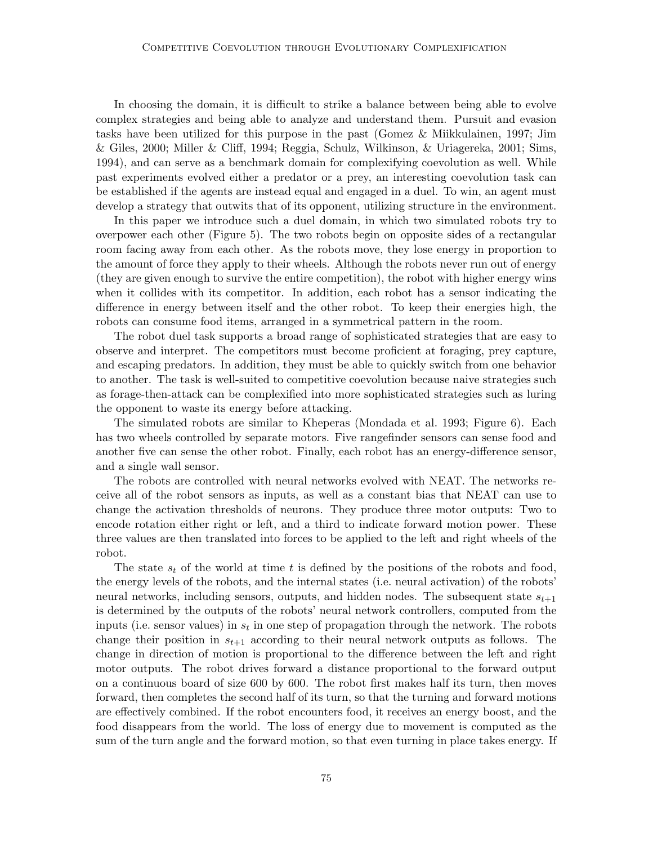In choosing the domain, it is difficult to strike a balance between being able to evolve complex strategies and being able to analyze and understand them. Pursuit and evasion tasks have been utilized for this purpose in the past (Gomez & Miikkulainen, 1997; Jim & Giles, 2000; Miller & Cliff, 1994; Reggia, Schulz, Wilkinson, & Uriagereka, 2001; Sims, 1994), and can serve as a benchmark domain for complexifying coevolution as well. While past experiments evolved either a predator or a prey, an interesting coevolution task can be established if the agents are instead equal and engaged in a duel. To win, an agent must develop a strategy that outwits that of its opponent, utilizing structure in the environment.

In this paper we introduce such a duel domain, in which two simulated robots try to overpower each other (Figure 5). The two robots begin on opposite sides of a rectangular room facing away from each other. As the robots move, they lose energy in proportion to the amount of force they apply to their wheels. Although the robots never run out of energy (they are given enough to survive the entire competition), the robot with higher energy wins when it collides with its competitor. In addition, each robot has a sensor indicating the difference in energy between itself and the other robot. To keep their energies high, the robots can consume food items, arranged in a symmetrical pattern in the room.

The robot duel task supports a broad range of sophisticated strategies that are easy to observe and interpret. The competitors must become proficient at foraging, prey capture, and escaping predators. In addition, they must be able to quickly switch from one behavior to another. The task is well-suited to competitive coevolution because naive strategies such as forage-then-attack can be complexified into more sophisticated strategies such as luring the opponent to waste its energy before attacking.

The simulated robots are similar to Kheperas (Mondada et al. 1993; Figure 6). Each has two wheels controlled by separate motors. Five rangefinder sensors can sense food and another five can sense the other robot. Finally, each robot has an energy-difference sensor, and a single wall sensor.

The robots are controlled with neural networks evolved with NEAT. The networks receive all of the robot sensors as inputs, as well as a constant bias that NEAT can use to change the activation thresholds of neurons. They produce three motor outputs: Two to encode rotation either right or left, and a third to indicate forward motion power. These three values are then translated into forces to be applied to the left and right wheels of the robot.

The state  $s_t$  of the world at time t is defined by the positions of the robots and food, the energy levels of the robots, and the internal states (i.e. neural activation) of the robots' neural networks, including sensors, outputs, and hidden nodes. The subsequent state  $s_{t+1}$ is determined by the outputs of the robots' neural network controllers, computed from the inputs (i.e. sensor values) in  $s_t$  in one step of propagation through the network. The robots change their position in  $s_{t+1}$  according to their neural network outputs as follows. The change in direction of motion is proportional to the difference between the left and right motor outputs. The robot drives forward a distance proportional to the forward output on a continuous board of size 600 by 600. The robot first makes half its turn, then moves forward, then completes the second half of its turn, so that the turning and forward motions are effectively combined. If the robot encounters food, it receives an energy boost, and the food disappears from the world. The loss of energy due to movement is computed as the sum of the turn angle and the forward motion, so that even turning in place takes energy. If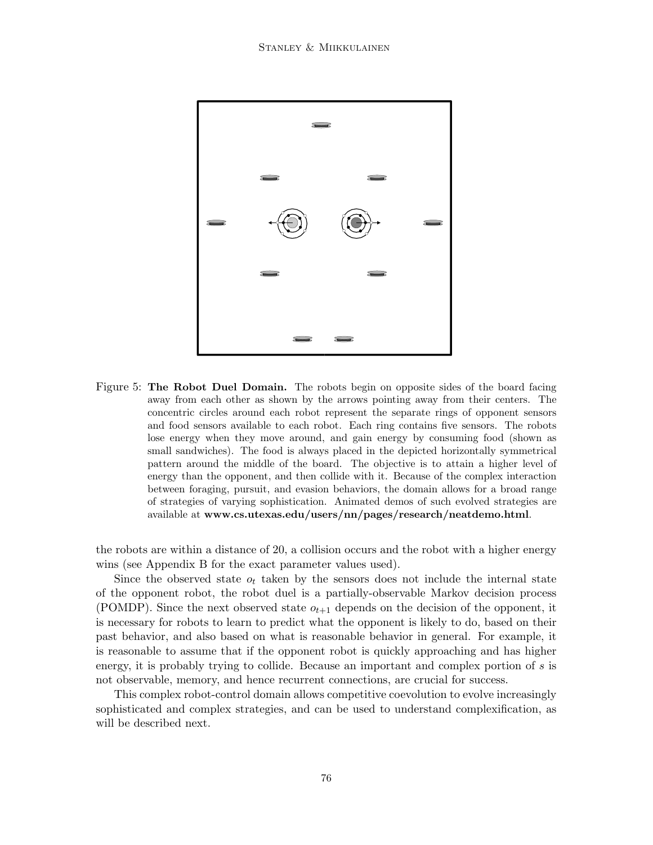

Figure 5: The Robot Duel Domain. The robots begin on opposite sides of the board facing away from each other as shown by the arrows pointing away from their centers. The concentric circles around each robot represent the separate rings of opponent sensors and food sensors available to each robot. Each ring contains five sensors. The robots lose energy when they move around, and gain energy by consuming food (shown as small sandwiches). The food is always placed in the depicted horizontally symmetrical pattern around the middle of the board. The objective is to attain a higher level of energy than the opponent, and then collide with it. Because of the complex interaction between foraging, pursuit, and evasion behaviors, the domain allows for a broad range of strategies of varying sophistication. Animated demos of such evolved strategies are available at www.cs.utexas.edu/users/nn/pages/research/neatdemo.html.

the robots are within a distance of 20, a collision occurs and the robot with a higher energy wins (see Appendix B for the exact parameter values used).

Since the observed state  $o_t$  taken by the sensors does not include the internal state of the opponent robot, the robot duel is a partially-observable Markov decision process (POMDP). Since the next observed state  $o_{t+1}$  depends on the decision of the opponent, it is necessary for robots to learn to predict what the opponent is likely to do, based on their past behavior, and also based on what is reasonable behavior in general. For example, it is reasonable to assume that if the opponent robot is quickly approaching and has higher energy, it is probably trying to collide. Because an important and complex portion of s is not observable, memory, and hence recurrent connections, are crucial for success.

This complex robot-control domain allows competitive coevolution to evolve increasingly sophisticated and complex strategies, and can be used to understand complexification, as will be described next.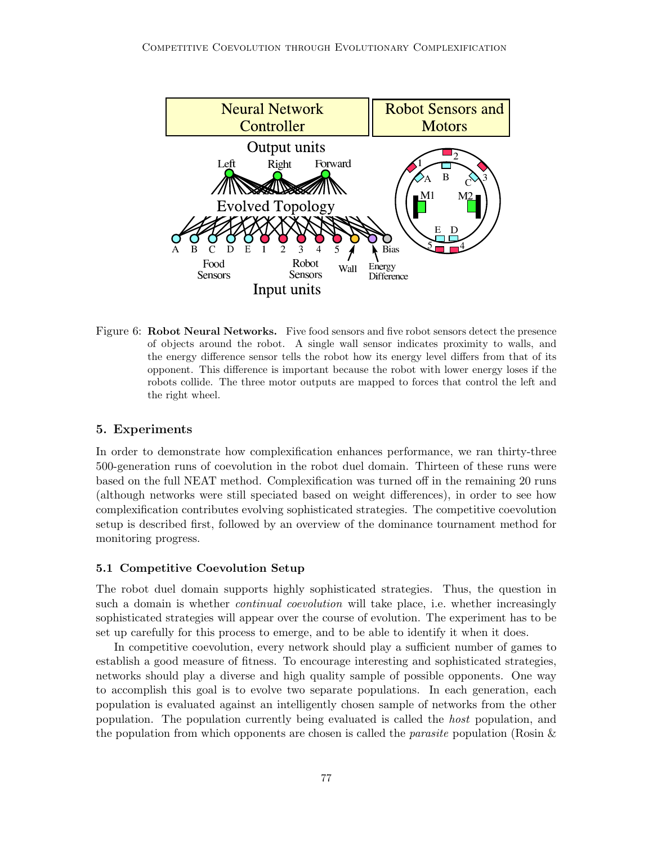

Figure 6: Robot Neural Networks. Five food sensors and five robot sensors detect the presence of objects around the robot. A single wall sensor indicates proximity to walls, and the energy difference sensor tells the robot how its energy level differs from that of its opponent. This difference is important because the robot with lower energy loses if the robots collide. The three motor outputs are mapped to forces that control the left and the right wheel.

### 5. Experiments

In order to demonstrate how complexification enhances performance, we ran thirty-three 500-generation runs of coevolution in the robot duel domain. Thirteen of these runs were based on the full NEAT method. Complexification was turned off in the remaining 20 runs (although networks were still speciated based on weight differences), in order to see how complexification contributes evolving sophisticated strategies. The competitive coevolution setup is described first, followed by an overview of the dominance tournament method for monitoring progress.

#### 5.1 Competitive Coevolution Setup

The robot duel domain supports highly sophisticated strategies. Thus, the question in such a domain is whether *continual coevolution* will take place, i.e. whether increasingly sophisticated strategies will appear over the course of evolution. The experiment has to be set up carefully for this process to emerge, and to be able to identify it when it does.

In competitive coevolution, every network should play a sufficient number of games to establish a good measure of fitness. To encourage interesting and sophisticated strategies, networks should play a diverse and high quality sample of possible opponents. One way to accomplish this goal is to evolve two separate populations. In each generation, each population is evaluated against an intelligently chosen sample of networks from the other population. The population currently being evaluated is called the host population, and the population from which opponents are chosen is called the *parasite* population (Rosin  $\&$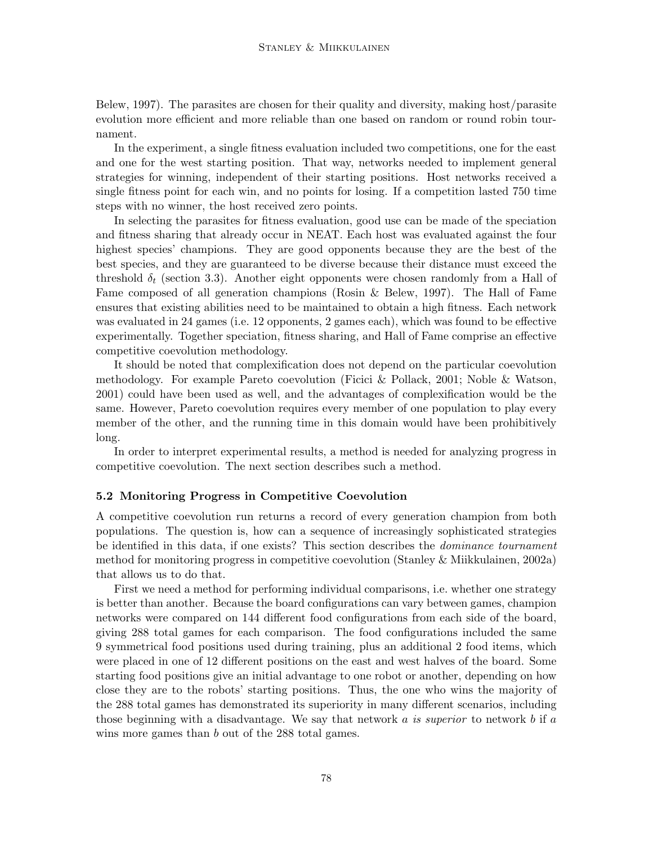Belew, 1997). The parasites are chosen for their quality and diversity, making host/parasite evolution more efficient and more reliable than one based on random or round robin tournament.

In the experiment, a single fitness evaluation included two competitions, one for the east and one for the west starting position. That way, networks needed to implement general strategies for winning, independent of their starting positions. Host networks received a single fitness point for each win, and no points for losing. If a competition lasted 750 time steps with no winner, the host received zero points.

In selecting the parasites for fitness evaluation, good use can be made of the speciation and fitness sharing that already occur in NEAT. Each host was evaluated against the four highest species' champions. They are good opponents because they are the best of the best species, and they are guaranteed to be diverse because their distance must exceed the threshold  $\delta_t$  (section 3.3). Another eight opponents were chosen randomly from a Hall of Fame composed of all generation champions (Rosin & Belew, 1997). The Hall of Fame ensures that existing abilities need to be maintained to obtain a high fitness. Each network was evaluated in 24 games (i.e. 12 opponents, 2 games each), which was found to be effective experimentally. Together speciation, fitness sharing, and Hall of Fame comprise an effective competitive coevolution methodology.

It should be noted that complexification does not depend on the particular coevolution methodology. For example Pareto coevolution (Ficici & Pollack, 2001; Noble & Watson, 2001) could have been used as well, and the advantages of complexification would be the same. However, Pareto coevolution requires every member of one population to play every member of the other, and the running time in this domain would have been prohibitively long.

In order to interpret experimental results, a method is needed for analyzing progress in competitive coevolution. The next section describes such a method.

#### 5.2 Monitoring Progress in Competitive Coevolution

A competitive coevolution run returns a record of every generation champion from both populations. The question is, how can a sequence of increasingly sophisticated strategies be identified in this data, if one exists? This section describes the dominance tournament method for monitoring progress in competitive coevolution (Stanley & Miikkulainen, 2002a) that allows us to do that.

First we need a method for performing individual comparisons, i.e. whether one strategy is better than another. Because the board configurations can vary between games, champion networks were compared on 144 different food configurations from each side of the board, giving 288 total games for each comparison. The food configurations included the same 9 symmetrical food positions used during training, plus an additional 2 food items, which were placed in one of 12 different positions on the east and west halves of the board. Some starting food positions give an initial advantage to one robot or another, depending on how close they are to the robots' starting positions. Thus, the one who wins the majority of the 288 total games has demonstrated its superiority in many different scenarios, including those beginning with a disadvantage. We say that network  $a$  is superior to network  $b$  if  $a$ wins more games than b out of the 288 total games.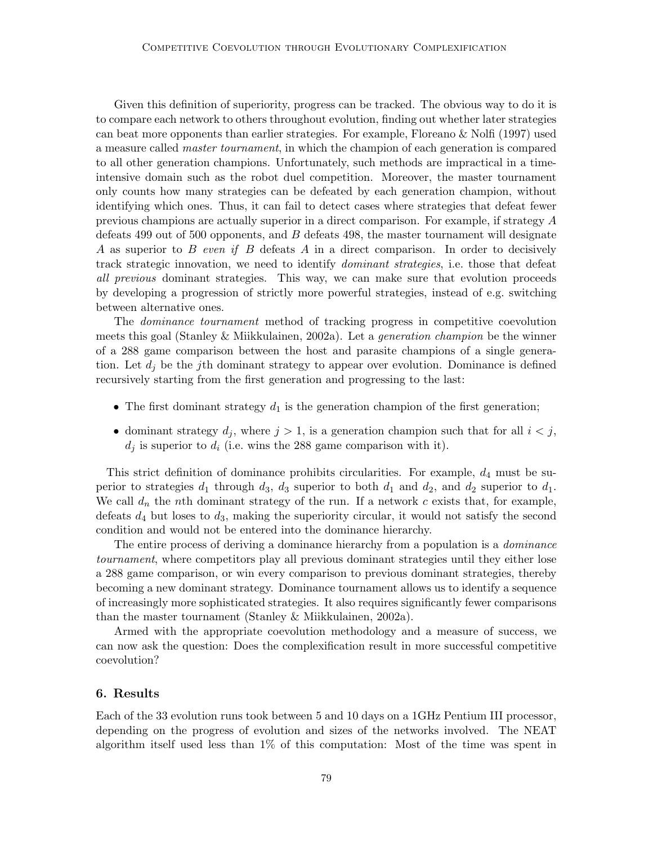Given this definition of superiority, progress can be tracked. The obvious way to do it is to compare each network to others throughout evolution, finding out whether later strategies can beat more opponents than earlier strategies. For example, Floreano & Nolfi (1997) used a measure called master tournament, in which the champion of each generation is compared to all other generation champions. Unfortunately, such methods are impractical in a timeintensive domain such as the robot duel competition. Moreover, the master tournament only counts how many strategies can be defeated by each generation champion, without identifying which ones. Thus, it can fail to detect cases where strategies that defeat fewer previous champions are actually superior in a direct comparison. For example, if strategy A defeats 499 out of 500 opponents, and  $B$  defeats 498, the master tournament will designate A as superior to B even if B defeats A in a direct comparison. In order to decisively track strategic innovation, we need to identify dominant strategies, i.e. those that defeat all previous dominant strategies. This way, we can make sure that evolution proceeds by developing a progression of strictly more powerful strategies, instead of e.g. switching between alternative ones.

The dominance tournament method of tracking progress in competitive coevolution meets this goal (Stanley & Miikkulainen, 2002a). Let a generation champion be the winner of a 288 game comparison between the host and parasite champions of a single generation. Let  $d_i$  be the jth dominant strategy to appear over evolution. Dominance is defined recursively starting from the first generation and progressing to the last:

- The first dominant strategy  $d_1$  is the generation champion of the first generation;
- dominant strategy  $d_j$ , where  $j > 1$ , is a generation champion such that for all  $i < j$ ,  $d_i$  is superior to  $d_i$  (i.e. wins the 288 game comparison with it).

This strict definition of dominance prohibits circularities. For example,  $d_4$  must be superior to strategies  $d_1$  through  $d_3$ ,  $d_3$  superior to both  $d_1$  and  $d_2$ , and  $d_2$  superior to  $d_1$ . We call  $d_n$  the nth dominant strategy of the run. If a network c exists that, for example, defeats  $d_4$  but loses to  $d_3$ , making the superiority circular, it would not satisfy the second condition and would not be entered into the dominance hierarchy.

The entire process of deriving a dominance hierarchy from a population is a *dominance* tournament, where competitors play all previous dominant strategies until they either lose a 288 game comparison, or win every comparison to previous dominant strategies, thereby becoming a new dominant strategy. Dominance tournament allows us to identify a sequence of increasingly more sophisticated strategies. It also requires significantly fewer comparisons than the master tournament (Stanley & Miikkulainen, 2002a).

Armed with the appropriate coevolution methodology and a measure of success, we can now ask the question: Does the complexification result in more successful competitive coevolution?

### 6. Results

Each of the 33 evolution runs took between 5 and 10 days on a 1GHz Pentium III processor, depending on the progress of evolution and sizes of the networks involved. The NEAT algorithm itself used less than 1% of this computation: Most of the time was spent in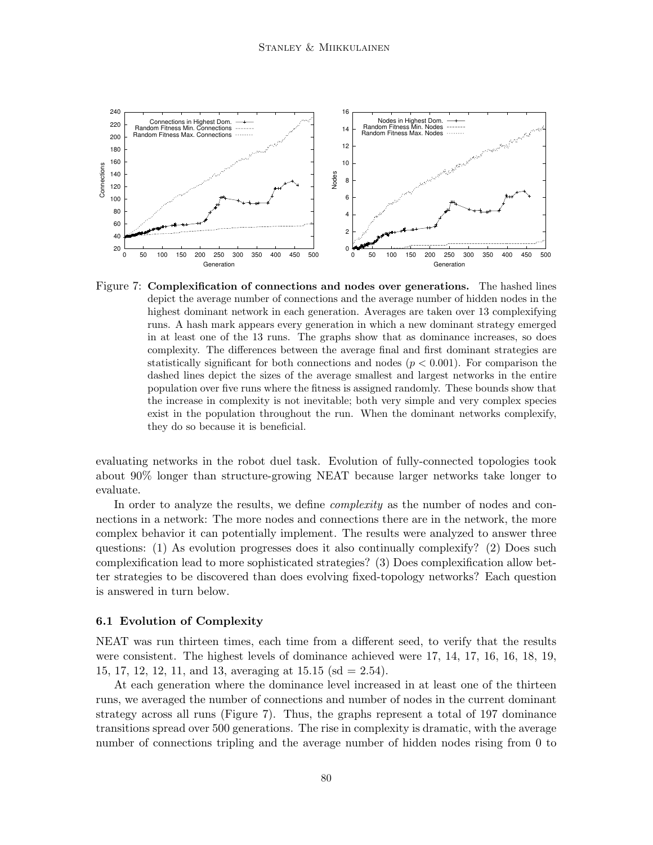

Figure 7: Complexification of connections and nodes over generations. The hashed lines depict the average number of connections and the average number of hidden nodes in the highest dominant network in each generation. Averages are taken over 13 complexifying runs. A hash mark appears every generation in which a new dominant strategy emerged in at least one of the 13 runs. The graphs show that as dominance increases, so does complexity. The differences between the average final and first dominant strategies are statistically significant for both connections and nodes  $(p < 0.001)$ . For comparison the dashed lines depict the sizes of the average smallest and largest networks in the entire population over five runs where the fitness is assigned randomly. These bounds show that the increase in complexity is not inevitable; both very simple and very complex species exist in the population throughout the run. When the dominant networks complexify, they do so because it is beneficial.

evaluating networks in the robot duel task. Evolution of fully-connected topologies took about 90% longer than structure-growing NEAT because larger networks take longer to evaluate.

In order to analyze the results, we define *complexity* as the number of nodes and connections in a network: The more nodes and connections there are in the network, the more complex behavior it can potentially implement. The results were analyzed to answer three questions: (1) As evolution progresses does it also continually complexify? (2) Does such complexification lead to more sophisticated strategies? (3) Does complexification allow better strategies to be discovered than does evolving fixed-topology networks? Each question is answered in turn below.

#### 6.1 Evolution of Complexity

NEAT was run thirteen times, each time from a different seed, to verify that the results were consistent. The highest levels of dominance achieved were 17, 14, 17, 16, 16, 18, 19, 15, 17, 12, 12, 11, and 13, averaging at 15.15 (sd = 2.54).

At each generation where the dominance level increased in at least one of the thirteen runs, we averaged the number of connections and number of nodes in the current dominant strategy across all runs (Figure 7). Thus, the graphs represent a total of 197 dominance transitions spread over 500 generations. The rise in complexity is dramatic, with the average number of connections tripling and the average number of hidden nodes rising from 0 to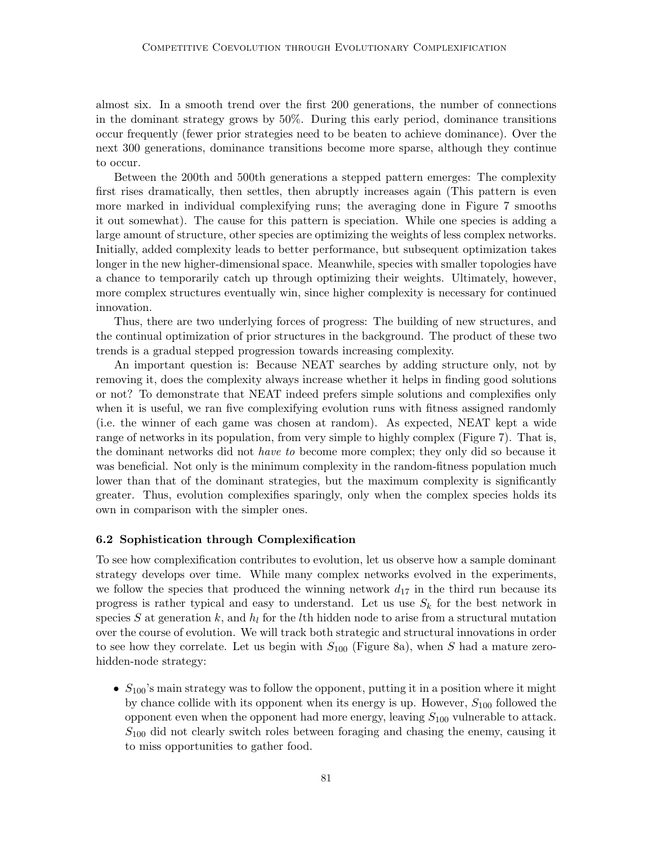almost six. In a smooth trend over the first 200 generations, the number of connections in the dominant strategy grows by 50%. During this early period, dominance transitions occur frequently (fewer prior strategies need to be beaten to achieve dominance). Over the next 300 generations, dominance transitions become more sparse, although they continue to occur.

Between the 200th and 500th generations a stepped pattern emerges: The complexity first rises dramatically, then settles, then abruptly increases again (This pattern is even more marked in individual complexifying runs; the averaging done in Figure 7 smooths it out somewhat). The cause for this pattern is speciation. While one species is adding a large amount of structure, other species are optimizing the weights of less complex networks. Initially, added complexity leads to better performance, but subsequent optimization takes longer in the new higher-dimensional space. Meanwhile, species with smaller topologies have a chance to temporarily catch up through optimizing their weights. Ultimately, however, more complex structures eventually win, since higher complexity is necessary for continued innovation.

Thus, there are two underlying forces of progress: The building of new structures, and the continual optimization of prior structures in the background. The product of these two trends is a gradual stepped progression towards increasing complexity.

An important question is: Because NEAT searches by adding structure only, not by removing it, does the complexity always increase whether it helps in finding good solutions or not? To demonstrate that NEAT indeed prefers simple solutions and complexifies only when it is useful, we ran five complexifying evolution runs with fitness assigned randomly (i.e. the winner of each game was chosen at random). As expected, NEAT kept a wide range of networks in its population, from very simple to highly complex (Figure 7). That is, the dominant networks did not *have to* become more complex; they only did so because it was beneficial. Not only is the minimum complexity in the random-fitness population much lower than that of the dominant strategies, but the maximum complexity is significantly greater. Thus, evolution complexifies sparingly, only when the complex species holds its own in comparison with the simpler ones.

#### 6.2 Sophistication through Complexification

To see how complexification contributes to evolution, let us observe how a sample dominant strategy develops over time. While many complex networks evolved in the experiments, we follow the species that produced the winning network  $d_{17}$  in the third run because its progress is rather typical and easy to understand. Let us use  $S_k$  for the best network in species S at generation k, and  $h_l$  for the lth hidden node to arise from a structural mutation over the course of evolution. We will track both strategic and structural innovations in order to see how they correlate. Let us begin with  $S_{100}$  (Figure 8a), when S had a mature zerohidden-node strategy:

•  $S_{100}$ 's main strategy was to follow the opponent, putting it in a position where it might by chance collide with its opponent when its energy is up. However,  $S_{100}$  followed the opponent even when the opponent had more energy, leaving  $S_{100}$  vulnerable to attack.  $S<sub>100</sub>$  did not clearly switch roles between foraging and chasing the enemy, causing it to miss opportunities to gather food.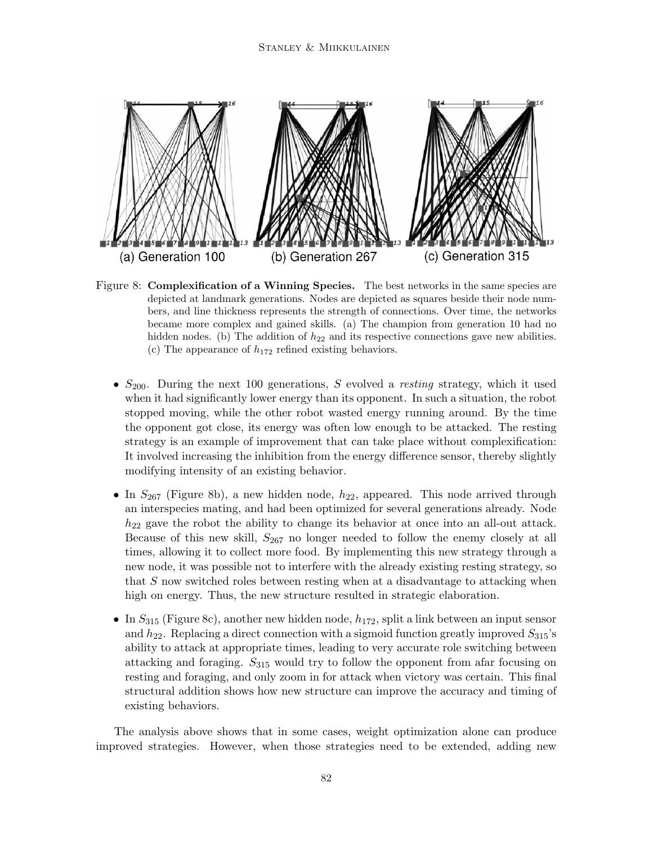

Figure 8: Complexification of a Winning Species. The best networks in the same species are depicted at landmark generations. Nodes are depicted as squares beside their node numbers, and line thickness represents the strength of connections. Over time, the networks became more complex and gained skills. (a) The champion from generation 10 had no hidden nodes. (b) The addition of  $h_{22}$  and its respective connections gave new abilities. (c) The appearance of  $h_{172}$  refined existing behaviors.

- $S_{200}$ . During the next 100 generations, S evolved a resting strategy, which it used when it had significantly lower energy than its opponent. In such a situation, the robot stopped moving, while the other robot wasted energy running around. By the time the opponent got close, its energy was often low enough to be attacked. The resting strategy is an example of improvement that can take place without complexification: It involved increasing the inhibition from the energy difference sensor, thereby slightly modifying intensity of an existing behavior.
- In  $S_{267}$  (Figure 8b), a new hidden node,  $h_{22}$ , appeared. This node arrived through an interspecies mating, and had been optimized for several generations already. Node  $h_{22}$  gave the robot the ability to change its behavior at once into an all-out attack. Because of this new skill,  $S_{267}$  no longer needed to follow the enemy closely at all times, allowing it to collect more food. By implementing this new strategy through a new node, it was possible not to interfere with the already existing resting strategy, so that S now switched roles between resting when at a disadvantage to attacking when high on energy. Thus, the new structure resulted in strategic elaboration.
- In  $S_{315}$  (Figure 8c), another new hidden node,  $h_{172}$ , split a link between an input sensor and  $h_{22}$ . Replacing a direct connection with a sigmoid function greatly improved  $S_{315}$ 's ability to attack at appropriate times, leading to very accurate role switching between attacking and foraging.  $S_{315}$  would try to follow the opponent from afar focusing on resting and foraging, and only zoom in for attack when victory was certain. This final structural addition shows how new structure can improve the accuracy and timing of existing behaviors.

The analysis above shows that in some cases, weight optimization alone can produce improved strategies. However, when those strategies need to be extended, adding new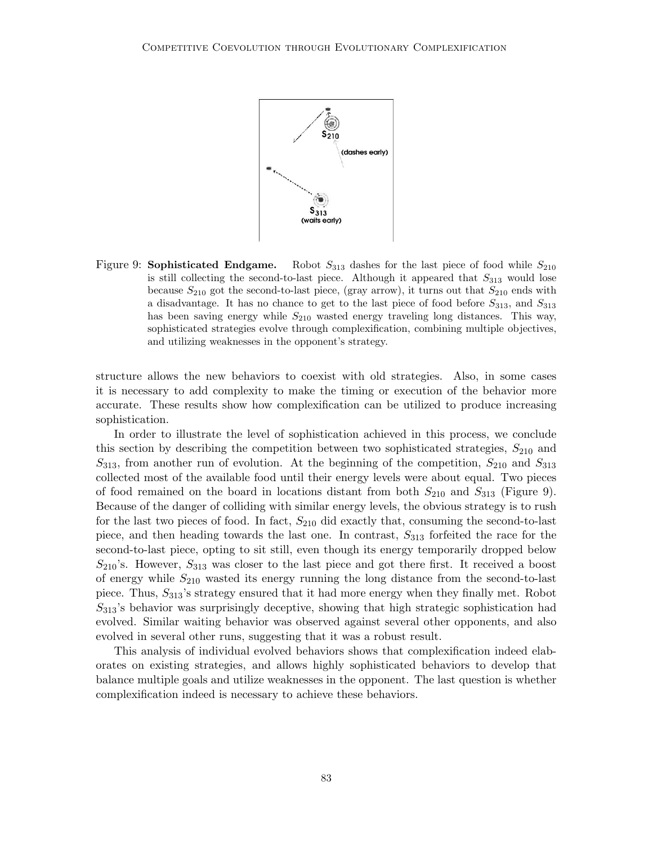

Figure 9: Sophisticated Endgame. Robot  $S_{313}$  dashes for the last piece of food while  $S_{210}$ is still collecting the second-to-last piece. Although it appeared that  $S_{313}$  would lose because  $S_{210}$  got the second-to-last piece, (gray arrow), it turns out that  $S_{210}$  ends with a disadvantage. It has no chance to get to the last piece of food before  $S_{313}$ , and  $S_{313}$ has been saving energy while  $S_{210}$  wasted energy traveling long distances. This way, sophisticated strategies evolve through complexification, combining multiple objectives, and utilizing weaknesses in the opponent's strategy.

structure allows the new behaviors to coexist with old strategies. Also, in some cases it is necessary to add complexity to make the timing or execution of the behavior more accurate. These results show how complexification can be utilized to produce increasing sophistication.

In order to illustrate the level of sophistication achieved in this process, we conclude this section by describing the competition between two sophisticated strategies,  $S_{210}$  and  $S_{313}$ , from another run of evolution. At the beginning of the competition,  $S_{210}$  and  $S_{313}$ collected most of the available food until their energy levels were about equal. Two pieces of food remained on the board in locations distant from both  $S_{210}$  and  $S_{313}$  (Figure 9). Because of the danger of colliding with similar energy levels, the obvious strategy is to rush for the last two pieces of food. In fact,  $S_{210}$  did exactly that, consuming the second-to-last piece, and then heading towards the last one. In contrast,  $S_{313}$  forfeited the race for the second-to-last piece, opting to sit still, even though its energy temporarily dropped below  $S_{210}$ 's. However,  $S_{313}$  was closer to the last piece and got there first. It received a boost of energy while  $S_{210}$  wasted its energy running the long distance from the second-to-last piece. Thus,  $S_{313}$ 's strategy ensured that it had more energy when they finally met. Robot  $S_{313}$ 's behavior was surprisingly deceptive, showing that high strategic sophistication had evolved. Similar waiting behavior was observed against several other opponents, and also evolved in several other runs, suggesting that it was a robust result.

This analysis of individual evolved behaviors shows that complexification indeed elaborates on existing strategies, and allows highly sophisticated behaviors to develop that balance multiple goals and utilize weaknesses in the opponent. The last question is whether complexification indeed is necessary to achieve these behaviors.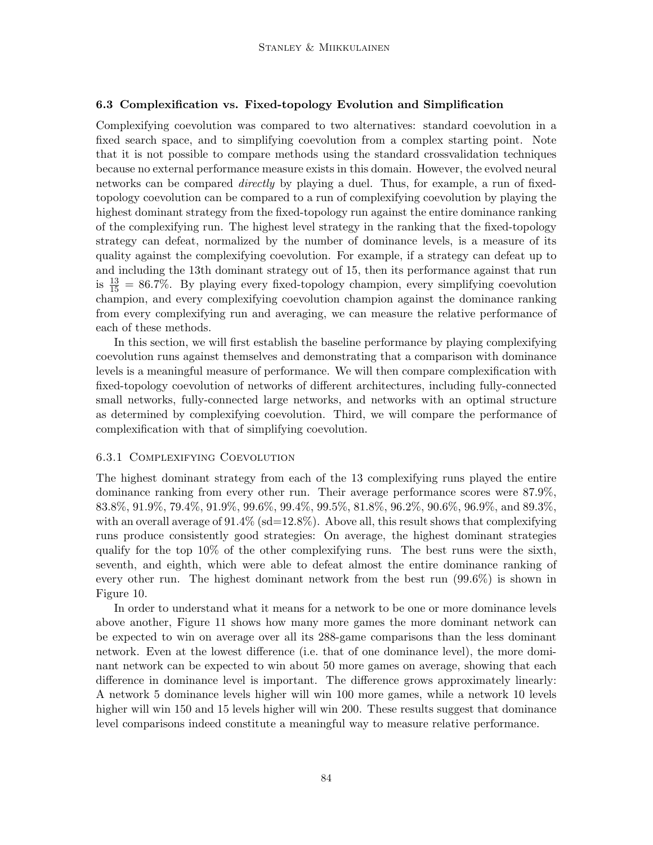#### 6.3 Complexification vs. Fixed-topology Evolution and Simplification

Complexifying coevolution was compared to two alternatives: standard coevolution in a fixed search space, and to simplifying coevolution from a complex starting point. Note that it is not possible to compare methods using the standard crossvalidation techniques because no external performance measure exists in this domain. However, the evolved neural networks can be compared *directly* by playing a duel. Thus, for example, a run of fixedtopology coevolution can be compared to a run of complexifying coevolution by playing the highest dominant strategy from the fixed-topology run against the entire dominance ranking of the complexifying run. The highest level strategy in the ranking that the fixed-topology strategy can defeat, normalized by the number of dominance levels, is a measure of its quality against the complexifying coevolution. For example, if a strategy can defeat up to and including the 13th dominant strategy out of 15, then its performance against that run is  $\frac{13}{15} = 86.7\%$ . By playing every fixed-topology champion, every simplifying coevolution champion, and every complexifying coevolution champion against the dominance ranking from every complexifying run and averaging, we can measure the relative performance of each of these methods.

In this section, we will first establish the baseline performance by playing complexifying coevolution runs against themselves and demonstrating that a comparison with dominance levels is a meaningful measure of performance. We will then compare complexification with fixed-topology coevolution of networks of different architectures, including fully-connected small networks, fully-connected large networks, and networks with an optimal structure as determined by complexifying coevolution. Third, we will compare the performance of complexification with that of simplifying coevolution.

#### 6.3.1 Complexifying Coevolution

The highest dominant strategy from each of the 13 complexifying runs played the entire dominance ranking from every other run. Their average performance scores were 87.9%, 83.8%, 91.9%, 79.4%, 91.9%, 99.6%, 99.4%, 99.5%, 81.8%, 96.2%, 90.6%, 96.9%, and 89.3%, with an overall average of  $91.4\%$  (sd=12.8%). Above all, this result shows that complexifying runs produce consistently good strategies: On average, the highest dominant strategies qualify for the top 10% of the other complexifying runs. The best runs were the sixth, seventh, and eighth, which were able to defeat almost the entire dominance ranking of every other run. The highest dominant network from the best run (99.6%) is shown in Figure 10.

In order to understand what it means for a network to be one or more dominance levels above another, Figure 11 shows how many more games the more dominant network can be expected to win on average over all its 288-game comparisons than the less dominant network. Even at the lowest difference (i.e. that of one dominance level), the more dominant network can be expected to win about 50 more games on average, showing that each difference in dominance level is important. The difference grows approximately linearly: A network 5 dominance levels higher will win 100 more games, while a network 10 levels higher will win 150 and 15 levels higher will win 200. These results suggest that dominance level comparisons indeed constitute a meaningful way to measure relative performance.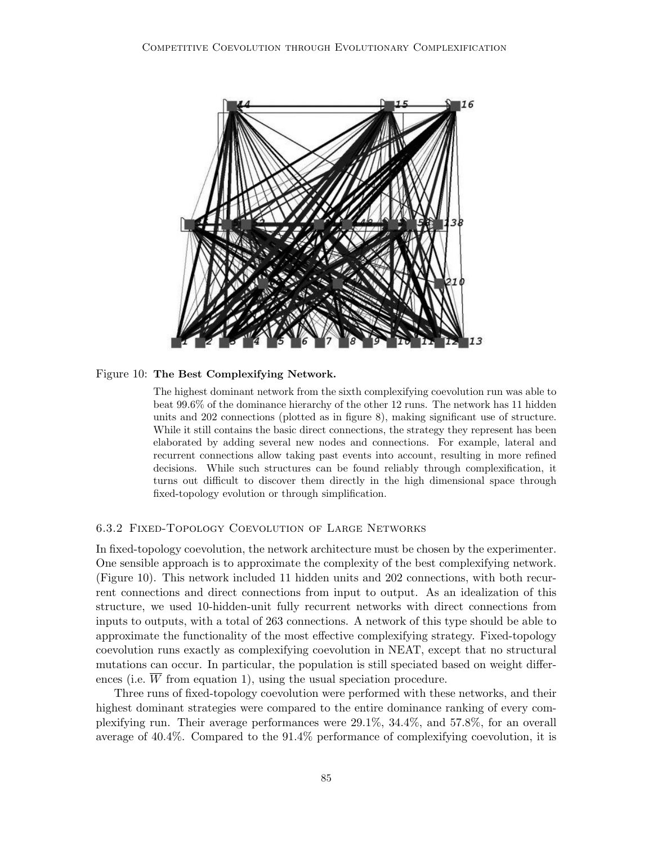

#### Figure 10: The Best Complexifying Network.

The highest dominant network from the sixth complexifying coevolution run was able to beat 99.6% of the dominance hierarchy of the other 12 runs. The network has 11 hidden units and 202 connections (plotted as in figure 8), making significant use of structure. While it still contains the basic direct connections, the strategy they represent has been elaborated by adding several new nodes and connections. For example, lateral and recurrent connections allow taking past events into account, resulting in more refined decisions. While such structures can be found reliably through complexification, it turns out difficult to discover them directly in the high dimensional space through fixed-topology evolution or through simplification.

### 6.3.2 Fixed-Topology Coevolution of Large Networks

In fixed-topology coevolution, the network architecture must be chosen by the experimenter. One sensible approach is to approximate the complexity of the best complexifying network. (Figure 10). This network included 11 hidden units and 202 connections, with both recurrent connections and direct connections from input to output. As an idealization of this structure, we used 10-hidden-unit fully recurrent networks with direct connections from inputs to outputs, with a total of 263 connections. A network of this type should be able to approximate the functionality of the most effective complexifying strategy. Fixed-topology coevolution runs exactly as complexifying coevolution in NEAT, except that no structural mutations can occur. In particular, the population is still speciated based on weight differences (i.e.  $\overline{W}$  from equation 1), using the usual speciation procedure.

Three runs of fixed-topology coevolution were performed with these networks, and their highest dominant strategies were compared to the entire dominance ranking of every complexifying run. Their average performances were 29.1%, 34.4%, and 57.8%, for an overall average of 40.4%. Compared to the 91.4% performance of complexifying coevolution, it is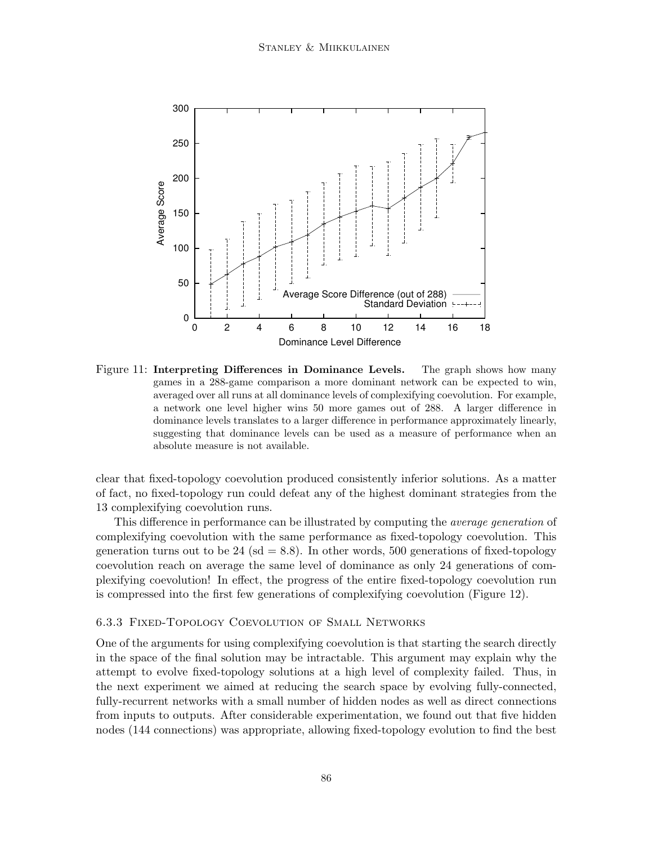

Figure 11: Interpreting Differences in Dominance Levels. The graph shows how many games in a 288-game comparison a more dominant network can be expected to win, averaged over all runs at all dominance levels of complexifying coevolution. For example, a network one level higher wins 50 more games out of 288. A larger difference in dominance levels translates to a larger difference in performance approximately linearly, suggesting that dominance levels can be used as a measure of performance when an absolute measure is not available.

clear that fixed-topology coevolution produced consistently inferior solutions. As a matter of fact, no fixed-topology run could defeat any of the highest dominant strategies from the 13 complexifying coevolution runs.

This difference in performance can be illustrated by computing the average generation of complexifying coevolution with the same performance as fixed-topology coevolution. This generation turns out to be  $24 \text{ (sd} = 8.8)$ . In other words, 500 generations of fixed-topology coevolution reach on average the same level of dominance as only 24 generations of complexifying coevolution! In effect, the progress of the entire fixed-topology coevolution run is compressed into the first few generations of complexifying coevolution (Figure 12).

### 6.3.3 Fixed-Topology Coevolution of Small Networks

One of the arguments for using complexifying coevolution is that starting the search directly in the space of the final solution may be intractable. This argument may explain why the attempt to evolve fixed-topology solutions at a high level of complexity failed. Thus, in the next experiment we aimed at reducing the search space by evolving fully-connected, fully-recurrent networks with a small number of hidden nodes as well as direct connections from inputs to outputs. After considerable experimentation, we found out that five hidden nodes (144 connections) was appropriate, allowing fixed-topology evolution to find the best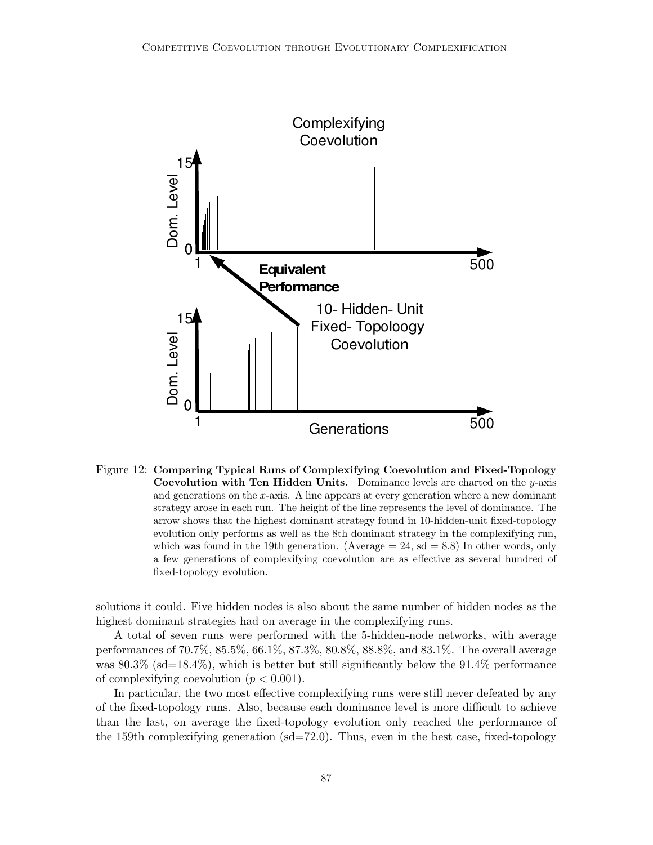

Figure 12: Comparing Typical Runs of Complexifying Coevolution and Fixed-Topology **Coevolution with Ten Hidden Units.** Dominance levels are charted on the  $y$ -axis and generations on the x-axis. A line appears at every generation where a new dominant strategy arose in each run. The height of the line represents the level of dominance. The arrow shows that the highest dominant strategy found in 10-hidden-unit fixed-topology evolution only performs as well as the 8th dominant strategy in the complexifying run, which was found in the 19th generation. (Average  $= 24$ , sd  $= 8.8$ ) In other words, only a few generations of complexifying coevolution are as effective as several hundred of fixed-topology evolution.

solutions it could. Five hidden nodes is also about the same number of hidden nodes as the highest dominant strategies had on average in the complexifying runs.

A total of seven runs were performed with the 5-hidden-node networks, with average performances of 70.7%, 85.5%, 66.1%, 87.3%, 80.8%, 88.8%, and 83.1%. The overall average was  $80.3\%$  (sd=18.4%), which is better but still significantly below the 91.4% performance of complexifying coevolution  $(p < 0.001)$ .

In particular, the two most effective complexifying runs were still never defeated by any of the fixed-topology runs. Also, because each dominance level is more difficult to achieve than the last, on average the fixed-topology evolution only reached the performance of the 159th complexifying generation  $(sd=72.0)$ . Thus, even in the best case, fixed-topology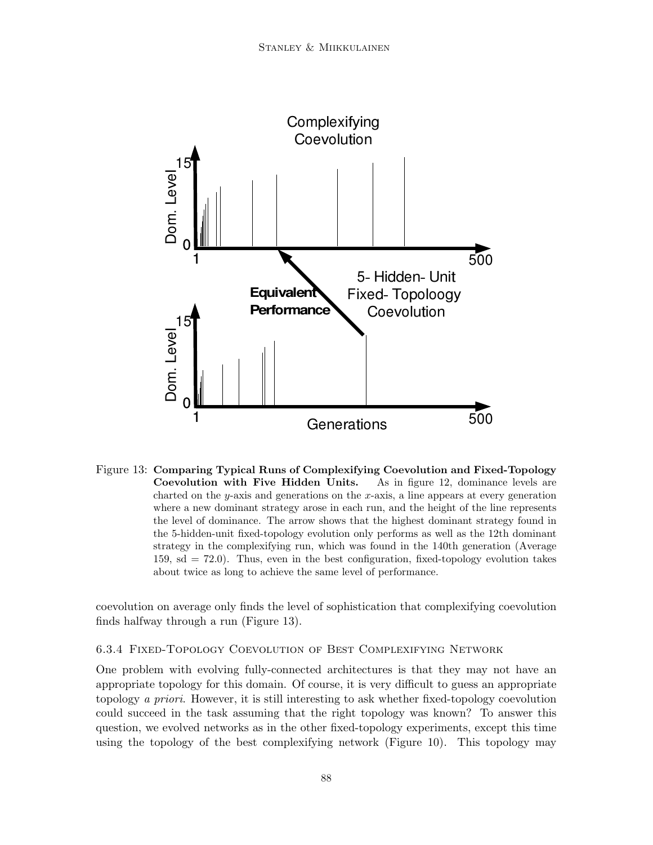

Figure 13: Comparing Typical Runs of Complexifying Coevolution and Fixed-Topology Coevolution with Five Hidden Units. As in figure 12, dominance levels are charted on the  $y$ -axis and generations on the  $x$ -axis, a line appears at every generation where a new dominant strategy arose in each run, and the height of the line represents the level of dominance. The arrow shows that the highest dominant strategy found in the 5-hidden-unit fixed-topology evolution only performs as well as the 12th dominant strategy in the complexifying run, which was found in the 140th generation (Average 159, sd = 72.0). Thus, even in the best configuration, fixed-topology evolution takes about twice as long to achieve the same level of performance.

coevolution on average only finds the level of sophistication that complexifying coevolution finds halfway through a run (Figure 13).

### 6.3.4 Fixed-Topology Coevolution of Best Complexifying Network

One problem with evolving fully-connected architectures is that they may not have an appropriate topology for this domain. Of course, it is very difficult to guess an appropriate topology a priori. However, it is still interesting to ask whether fixed-topology coevolution could succeed in the task assuming that the right topology was known? To answer this question, we evolved networks as in the other fixed-topology experiments, except this time using the topology of the best complexifying network (Figure 10). This topology may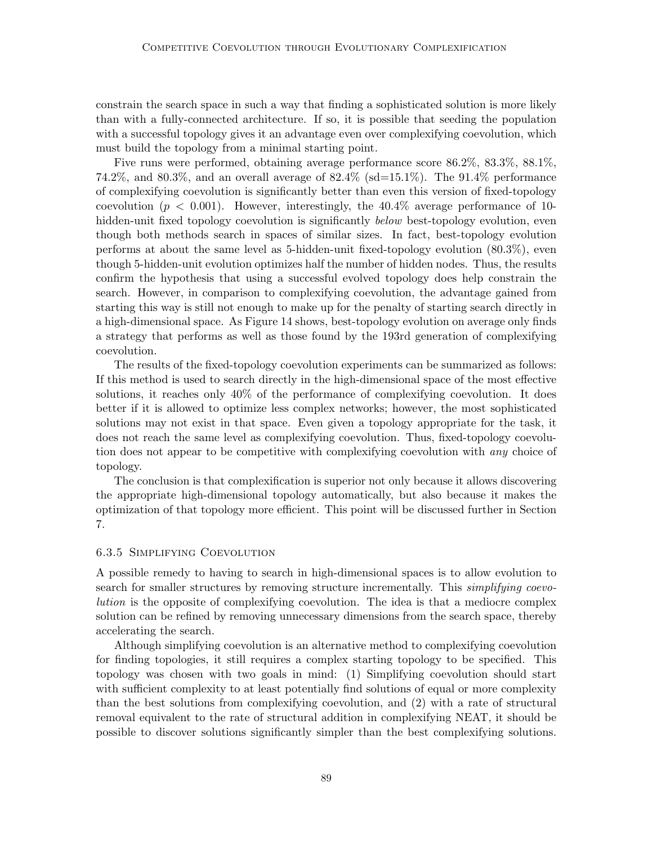constrain the search space in such a way that finding a sophisticated solution is more likely than with a fully-connected architecture. If so, it is possible that seeding the population with a successful topology gives it an advantage even over complexifying coevolution, which must build the topology from a minimal starting point.

Five runs were performed, obtaining average performance score 86.2%, 83.3%, 88.1%, 74.2%, and 80.3%, and an overall average of  $82.4\%$  (sd=15.1%). The 91.4% performance of complexifying coevolution is significantly better than even this version of fixed-topology coevolution ( $p < 0.001$ ). However, interestingly, the 40.4% average performance of 10hidden-unit fixed topology coevolution is significantly *below* best-topology evolution, even though both methods search in spaces of similar sizes. In fact, best-topology evolution performs at about the same level as 5-hidden-unit fixed-topology evolution (80.3%), even though 5-hidden-unit evolution optimizes half the number of hidden nodes. Thus, the results confirm the hypothesis that using a successful evolved topology does help constrain the search. However, in comparison to complexifying coevolution, the advantage gained from starting this way is still not enough to make up for the penalty of starting search directly in a high-dimensional space. As Figure 14 shows, best-topology evolution on average only finds a strategy that performs as well as those found by the 193rd generation of complexifying coevolution.

The results of the fixed-topology coevolution experiments can be summarized as follows: If this method is used to search directly in the high-dimensional space of the most effective solutions, it reaches only 40% of the performance of complexifying coevolution. It does better if it is allowed to optimize less complex networks; however, the most sophisticated solutions may not exist in that space. Even given a topology appropriate for the task, it does not reach the same level as complexifying coevolution. Thus, fixed-topology coevolution does not appear to be competitive with complexifying coevolution with any choice of topology.

The conclusion is that complexification is superior not only because it allows discovering the appropriate high-dimensional topology automatically, but also because it makes the optimization of that topology more efficient. This point will be discussed further in Section 7.

### 6.3.5 Simplifying Coevolution

A possible remedy to having to search in high-dimensional spaces is to allow evolution to search for smaller structures by removing structure incrementally. This *simplifying coevo*lution is the opposite of complexifying coevolution. The idea is that a mediocre complex solution can be refined by removing unnecessary dimensions from the search space, thereby accelerating the search.

Although simplifying coevolution is an alternative method to complexifying coevolution for finding topologies, it still requires a complex starting topology to be specified. This topology was chosen with two goals in mind: (1) Simplifying coevolution should start with sufficient complexity to at least potentially find solutions of equal or more complexity than the best solutions from complexifying coevolution, and (2) with a rate of structural removal equivalent to the rate of structural addition in complexifying NEAT, it should be possible to discover solutions significantly simpler than the best complexifying solutions.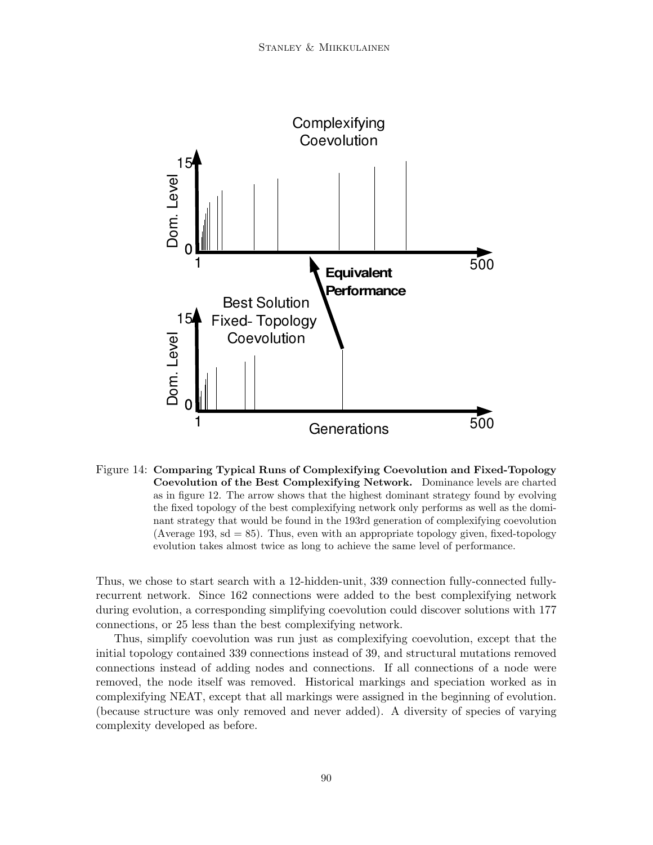

Figure 14: Comparing Typical Runs of Complexifying Coevolution and Fixed-Topology Coevolution of the Best Complexifying Network. Dominance levels are charted as in figure 12. The arrow shows that the highest dominant strategy found by evolving the fixed topology of the best complexifying network only performs as well as the dominant strategy that would be found in the 193rd generation of complexifying coevolution (Average 193,  $sd = 85$ ). Thus, even with an appropriate topology given, fixed-topology evolution takes almost twice as long to achieve the same level of performance.

Thus, we chose to start search with a 12-hidden-unit, 339 connection fully-connected fullyrecurrent network. Since 162 connections were added to the best complexifying network during evolution, a corresponding simplifying coevolution could discover solutions with 177 connections, or 25 less than the best complexifying network.

Thus, simplify coevolution was run just as complexifying coevolution, except that the initial topology contained 339 connections instead of 39, and structural mutations removed connections instead of adding nodes and connections. If all connections of a node were removed, the node itself was removed. Historical markings and speciation worked as in complexifying NEAT, except that all markings were assigned in the beginning of evolution. (because structure was only removed and never added). A diversity of species of varying complexity developed as before.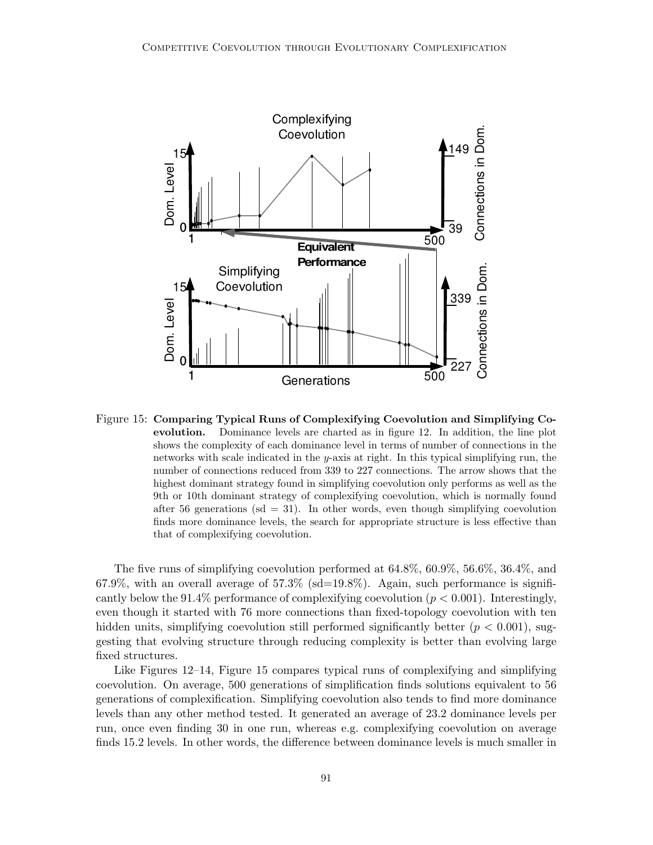

Figure 15: Comparing Typical Runs of Complexifying Coevolution and Simplifying Coevolution. Dominance levels are charted as in figure 12. In addition, the line plot shows the complexity of each dominance level in terms of number of connections in the networks with scale indicated in the y-axis at right. In this typical simplifying run, the number of connections reduced from 339 to 227 connections. The arrow shows that the highest dominant strategy found in simplifying coevolution only performs as well as the 9th or 10th dominant strategy of complexifying coevolution, which is normally found after 56 generations ( $sd = 31$ ). In other words, even though simplifying coevolution finds more dominance levels, the search for appropriate structure is less effective than that of complexifying coevolution.

The five runs of simplifying coevolution performed at 64.8%, 60.9%, 56.6%, 36.4%, and 67.9%, with an overall average of  $57.3\%$  (sd=19.8%). Again, such performance is significantly below the 91.4% performance of complexifying coevolution  $(p < 0.001)$ . Interestingly, even though it started with 76 more connections than fixed-topology coevolution with ten hidden units, simplifying coevolution still performed significantly better  $(p < 0.001)$ , suggesting that evolving structure through reducing complexity is better than evolving large fixed structures.

Like Figures 12–14, Figure 15 compares typical runs of complexifying and simplifying coevolution. On average, 500 generations of simplification finds solutions equivalent to 56 generations of complexification. Simplifying coevolution also tends to find more dominance levels than any other method tested. It generated an average of 23.2 dominance levels per run, once even finding 30 in one run, whereas e.g. complexifying coevolution on average finds 15.2 levels. In other words, the difference between dominance levels is much smaller in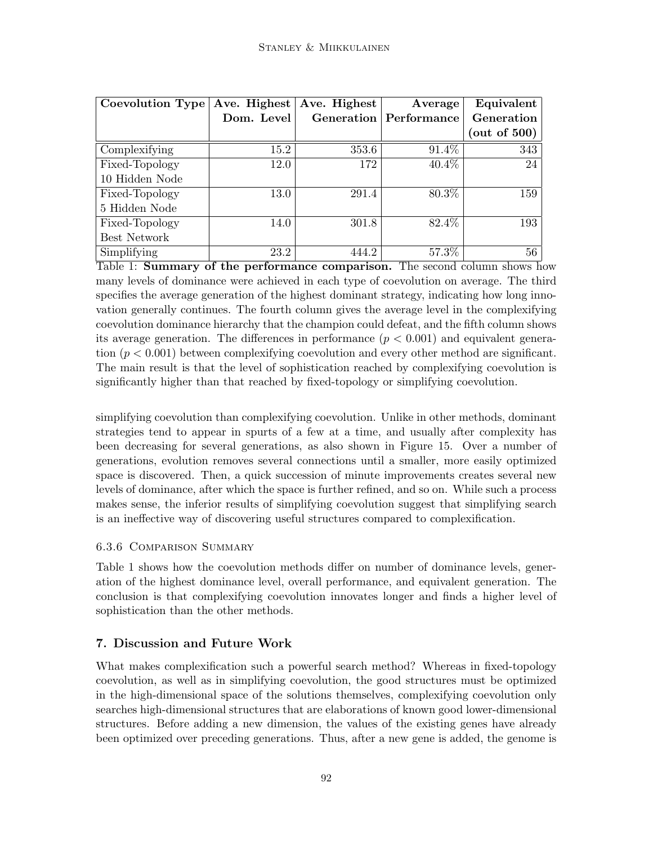| Coevolution Type | Ave. Highest | Ave. Highest | Average                       | Equivalent      |
|------------------|--------------|--------------|-------------------------------|-----------------|
|                  | Dom. Level   |              | <b>Generation</b> Performance | Generation      |
|                  |              |              |                               | (out of $500$ ) |
| Complexifying    | 15.2         | 353.6        | 91.4%                         | 343             |
| Fixed-Topology   | 12.0         | 172          | 40.4%                         | 24              |
| 10 Hidden Node   |              |              |                               |                 |
| Fixed-Topology   | 13.0         | 291.4        | 80.3%                         | 159             |
| 5 Hidden Node    |              |              |                               |                 |
| Fixed-Topology   | 14.0         | 301.8        | 82.4%                         | 193             |
| Best Network     |              |              |                               |                 |
| Simplifying      | 23.2         | 444.2        | 57.3%                         | 56              |

Table 1: Summary of the performance comparison. The second column shows how many levels of dominance were achieved in each type of coevolution on average. The third specifies the average generation of the highest dominant strategy, indicating how long innovation generally continues. The fourth column gives the average level in the complexifying coevolution dominance hierarchy that the champion could defeat, and the fifth column shows its average generation. The differences in performance  $(p < 0.001)$  and equivalent generation  $(p < 0.001)$  between complexifying coevolution and every other method are significant. The main result is that the level of sophistication reached by complexifying coevolution is significantly higher than that reached by fixed-topology or simplifying coevolution.

simplifying coevolution than complexifying coevolution. Unlike in other methods, dominant strategies tend to appear in spurts of a few at a time, and usually after complexity has been decreasing for several generations, as also shown in Figure 15. Over a number of generations, evolution removes several connections until a smaller, more easily optimized space is discovered. Then, a quick succession of minute improvements creates several new levels of dominance, after which the space is further refined, and so on. While such a process makes sense, the inferior results of simplifying coevolution suggest that simplifying search is an ineffective way of discovering useful structures compared to complexification.

### 6.3.6 Comparison Summary

Table 1 shows how the coevolution methods differ on number of dominance levels, generation of the highest dominance level, overall performance, and equivalent generation. The conclusion is that complexifying coevolution innovates longer and finds a higher level of sophistication than the other methods.

## 7. Discussion and Future Work

What makes complexification such a powerful search method? Whereas in fixed-topology coevolution, as well as in simplifying coevolution, the good structures must be optimized in the high-dimensional space of the solutions themselves, complexifying coevolution only searches high-dimensional structures that are elaborations of known good lower-dimensional structures. Before adding a new dimension, the values of the existing genes have already been optimized over preceding generations. Thus, after a new gene is added, the genome is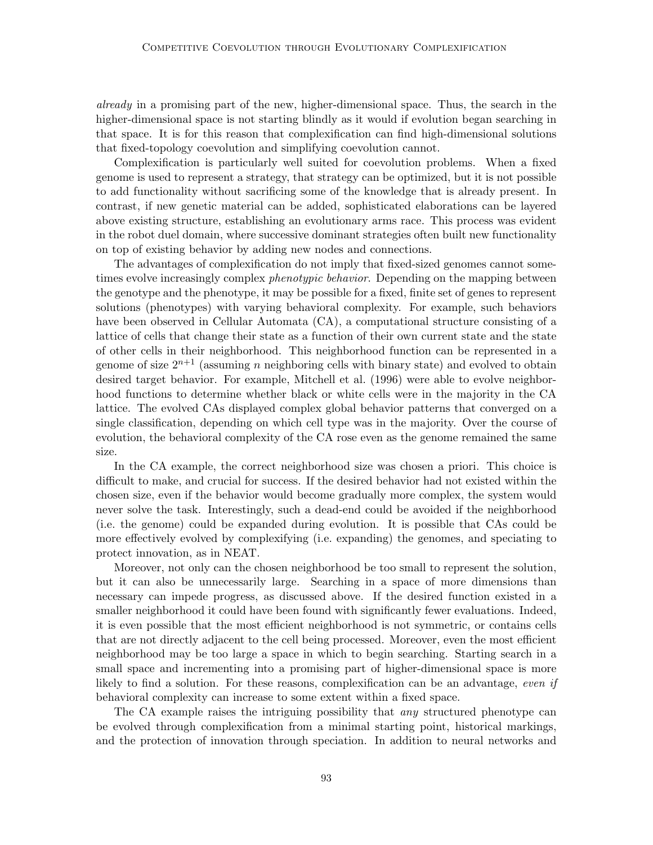already in a promising part of the new, higher-dimensional space. Thus, the search in the higher-dimensional space is not starting blindly as it would if evolution began searching in that space. It is for this reason that complexification can find high-dimensional solutions that fixed-topology coevolution and simplifying coevolution cannot.

Complexification is particularly well suited for coevolution problems. When a fixed genome is used to represent a strategy, that strategy can be optimized, but it is not possible to add functionality without sacrificing some of the knowledge that is already present. In contrast, if new genetic material can be added, sophisticated elaborations can be layered above existing structure, establishing an evolutionary arms race. This process was evident in the robot duel domain, where successive dominant strategies often built new functionality on top of existing behavior by adding new nodes and connections.

The advantages of complexification do not imply that fixed-sized genomes cannot sometimes evolve increasingly complex *phenotypic behavior*. Depending on the mapping between the genotype and the phenotype, it may be possible for a fixed, finite set of genes to represent solutions (phenotypes) with varying behavioral complexity. For example, such behaviors have been observed in Cellular Automata (CA), a computational structure consisting of a lattice of cells that change their state as a function of their own current state and the state of other cells in their neighborhood. This neighborhood function can be represented in a genome of size  $2^{n+1}$  (assuming n neighboring cells with binary state) and evolved to obtain desired target behavior. For example, Mitchell et al. (1996) were able to evolve neighborhood functions to determine whether black or white cells were in the majority in the CA lattice. The evolved CAs displayed complex global behavior patterns that converged on a single classification, depending on which cell type was in the majority. Over the course of evolution, the behavioral complexity of the CA rose even as the genome remained the same size.

In the CA example, the correct neighborhood size was chosen a priori. This choice is difficult to make, and crucial for success. If the desired behavior had not existed within the chosen size, even if the behavior would become gradually more complex, the system would never solve the task. Interestingly, such a dead-end could be avoided if the neighborhood (i.e. the genome) could be expanded during evolution. It is possible that CAs could be more effectively evolved by complexifying (i.e. expanding) the genomes, and speciating to protect innovation, as in NEAT.

Moreover, not only can the chosen neighborhood be too small to represent the solution, but it can also be unnecessarily large. Searching in a space of more dimensions than necessary can impede progress, as discussed above. If the desired function existed in a smaller neighborhood it could have been found with significantly fewer evaluations. Indeed, it is even possible that the most efficient neighborhood is not symmetric, or contains cells that are not directly adjacent to the cell being processed. Moreover, even the most efficient neighborhood may be too large a space in which to begin searching. Starting search in a small space and incrementing into a promising part of higher-dimensional space is more likely to find a solution. For these reasons, complexification can be an advantage, even if behavioral complexity can increase to some extent within a fixed space.

The CA example raises the intriguing possibility that *any* structured phenotype can be evolved through complexification from a minimal starting point, historical markings, and the protection of innovation through speciation. In addition to neural networks and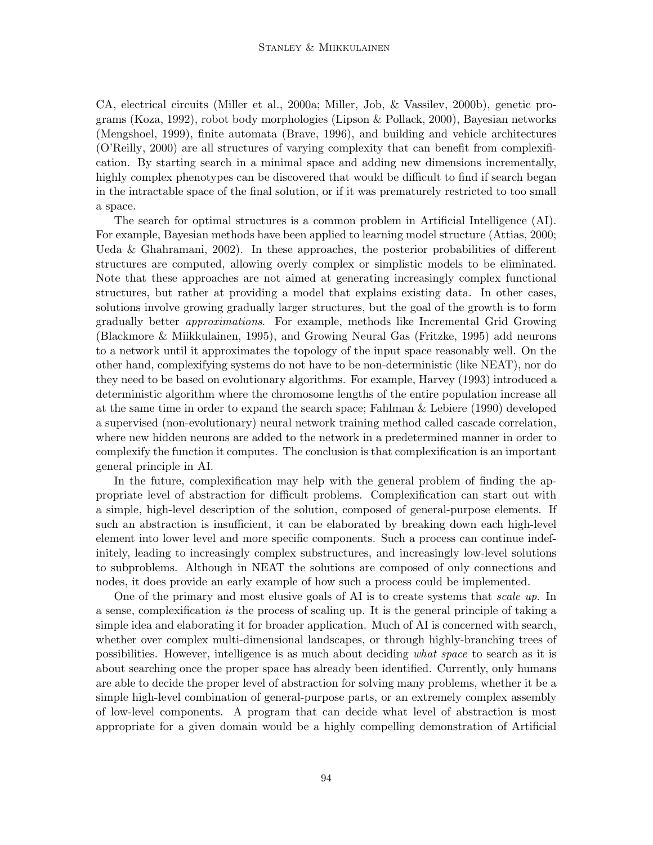CA, electrical circuits (Miller et al., 2000a; Miller, Job, & Vassilev, 2000b), genetic programs (Koza, 1992), robot body morphologies (Lipson & Pollack, 2000), Bayesian networks (Mengshoel, 1999), finite automata (Brave, 1996), and building and vehicle architectures (O'Reilly, 2000) are all structures of varying complexity that can benefit from complexification. By starting search in a minimal space and adding new dimensions incrementally, highly complex phenotypes can be discovered that would be difficult to find if search began in the intractable space of the final solution, or if it was prematurely restricted to too small a space.

The search for optimal structures is a common problem in Artificial Intelligence (AI). For example, Bayesian methods have been applied to learning model structure (Attias, 2000; Ueda & Ghahramani, 2002). In these approaches, the posterior probabilities of different structures are computed, allowing overly complex or simplistic models to be eliminated. Note that these approaches are not aimed at generating increasingly complex functional structures, but rather at providing a model that explains existing data. In other cases, solutions involve growing gradually larger structures, but the goal of the growth is to form gradually better approximations. For example, methods like Incremental Grid Growing (Blackmore & Miikkulainen, 1995), and Growing Neural Gas (Fritzke, 1995) add neurons to a network until it approximates the topology of the input space reasonably well. On the other hand, complexifying systems do not have to be non-deterministic (like NEAT), nor do they need to be based on evolutionary algorithms. For example, Harvey (1993) introduced a deterministic algorithm where the chromosome lengths of the entire population increase all at the same time in order to expand the search space; Fahlman & Lebiere (1990) developed a supervised (non-evolutionary) neural network training method called cascade correlation, where new hidden neurons are added to the network in a predetermined manner in order to complexify the function it computes. The conclusion is that complexification is an important general principle in AI.

In the future, complexification may help with the general problem of finding the appropriate level of abstraction for difficult problems. Complexification can start out with a simple, high-level description of the solution, composed of general-purpose elements. If such an abstraction is insufficient, it can be elaborated by breaking down each high-level element into lower level and more specific components. Such a process can continue indefinitely, leading to increasingly complex substructures, and increasingly low-level solutions to subproblems. Although in NEAT the solutions are composed of only connections and nodes, it does provide an early example of how such a process could be implemented.

One of the primary and most elusive goals of AI is to create systems that scale up. In a sense, complexification is the process of scaling up. It is the general principle of taking a simple idea and elaborating it for broader application. Much of AI is concerned with search, whether over complex multi-dimensional landscapes, or through highly-branching trees of possibilities. However, intelligence is as much about deciding what space to search as it is about searching once the proper space has already been identified. Currently, only humans are able to decide the proper level of abstraction for solving many problems, whether it be a simple high-level combination of general-purpose parts, or an extremely complex assembly of low-level components. A program that can decide what level of abstraction is most appropriate for a given domain would be a highly compelling demonstration of Artificial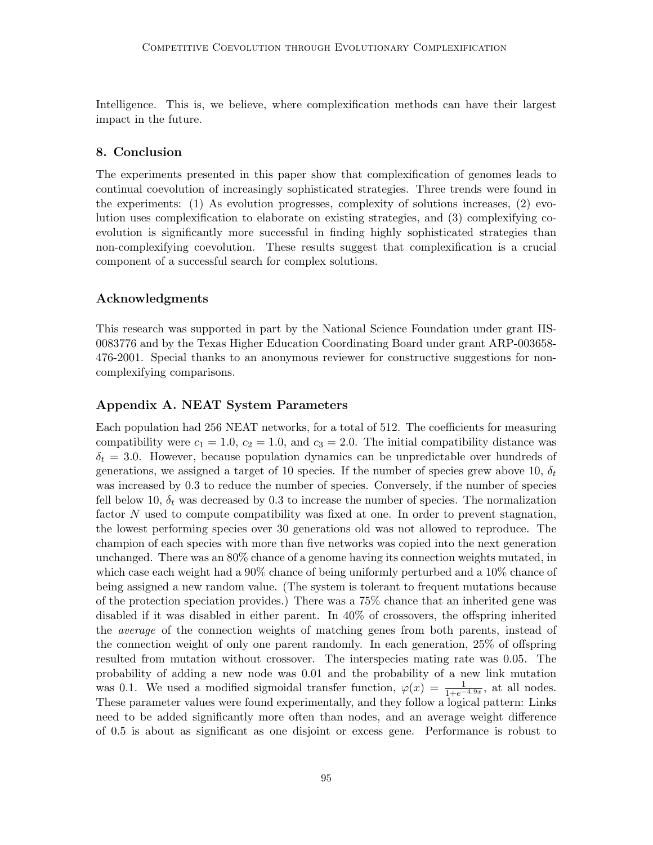Intelligence. This is, we believe, where complexification methods can have their largest impact in the future.

### 8. Conclusion

The experiments presented in this paper show that complexification of genomes leads to continual coevolution of increasingly sophisticated strategies. Three trends were found in the experiments: (1) As evolution progresses, complexity of solutions increases, (2) evolution uses complexification to elaborate on existing strategies, and (3) complexifying coevolution is significantly more successful in finding highly sophisticated strategies than non-complexifying coevolution. These results suggest that complexification is a crucial component of a successful search for complex solutions.

### Acknowledgments

This research was supported in part by the National Science Foundation under grant IIS-0083776 and by the Texas Higher Education Coordinating Board under grant ARP-003658- 476-2001. Special thanks to an anonymous reviewer for constructive suggestions for noncomplexifying comparisons.

### Appendix A. NEAT System Parameters

Each population had 256 NEAT networks, for a total of 512. The coefficients for measuring compatibility were  $c_1 = 1.0$ ,  $c_2 = 1.0$ , and  $c_3 = 2.0$ . The initial compatibility distance was  $\delta_t = 3.0$ . However, because population dynamics can be unpredictable over hundreds of generations, we assigned a target of 10 species. If the number of species grew above 10,  $\delta_t$ was increased by 0.3 to reduce the number of species. Conversely, if the number of species fell below 10,  $\delta_t$  was decreased by 0.3 to increase the number of species. The normalization factor N used to compute compatibility was fixed at one. In order to prevent stagnation, the lowest performing species over 30 generations old was not allowed to reproduce. The champion of each species with more than five networks was copied into the next generation unchanged. There was an 80% chance of a genome having its connection weights mutated, in which case each weight had a 90% chance of being uniformly perturbed and a 10% chance of being assigned a new random value. (The system is tolerant to frequent mutations because of the protection speciation provides.) There was a 75% chance that an inherited gene was disabled if it was disabled in either parent. In 40% of crossovers, the offspring inherited the average of the connection weights of matching genes from both parents, instead of the connection weight of only one parent randomly. In each generation, 25% of offspring resulted from mutation without crossover. The interspecies mating rate was 0.05. The probability of adding a new node was 0.01 and the probability of a new link mutation was 0.1. We used a modified sigmoidal transfer function,  $\varphi(x) = \frac{1}{1+e^{-4.9x}}$ , at all nodes. These parameter values were found experimentally, and they follow a logical pattern: Links need to be added significantly more often than nodes, and an average weight difference of 0.5 is about as significant as one disjoint or excess gene. Performance is robust to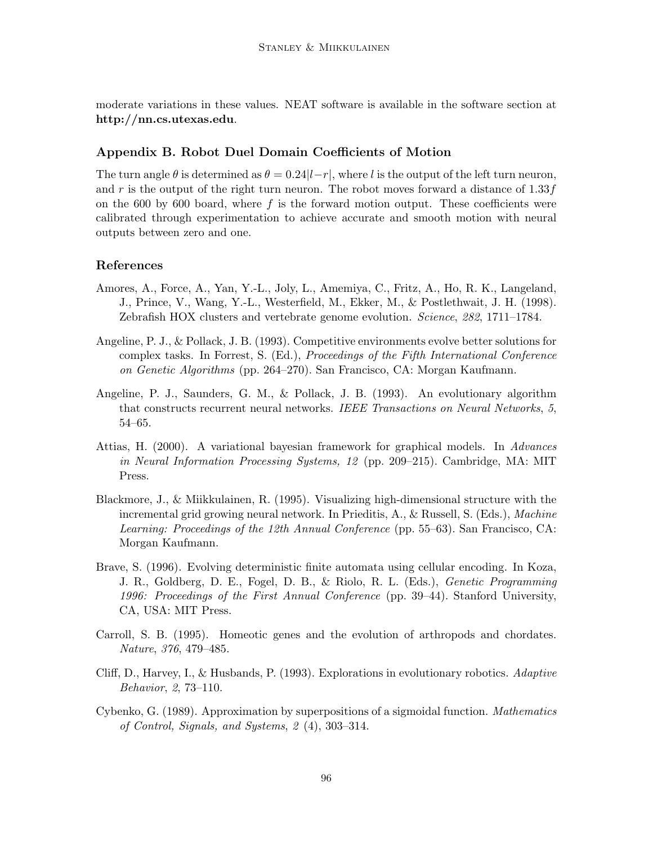moderate variations in these values. NEAT software is available in the software section at http://nn.cs.utexas.edu.

### Appendix B. Robot Duel Domain Coefficients of Motion

The turn angle  $\theta$  is determined as  $\theta = 0.24|l-r|$ , where l is the output of the left turn neuron, and r is the output of the right turn neuron. The robot moves forward a distance of  $1.33f$ on the 600 by 600 board, where  $f$  is the forward motion output. These coefficients were calibrated through experimentation to achieve accurate and smooth motion with neural outputs between zero and one.

#### References

- Amores, A., Force, A., Yan, Y.-L., Joly, L., Amemiya, C., Fritz, A., Ho, R. K., Langeland, J., Prince, V., Wang, Y.-L., Westerfield, M., Ekker, M., & Postlethwait, J. H. (1998). Zebrafish HOX clusters and vertebrate genome evolution. Science, 282, 1711–1784.
- Angeline, P. J., & Pollack, J. B. (1993). Competitive environments evolve better solutions for complex tasks. In Forrest, S. (Ed.), Proceedings of the Fifth International Conference on Genetic Algorithms (pp. 264–270). San Francisco, CA: Morgan Kaufmann.
- Angeline, P. J., Saunders, G. M., & Pollack, J. B. (1993). An evolutionary algorithm that constructs recurrent neural networks. IEEE Transactions on Neural Networks, 5, 54–65.
- Attias, H. (2000). A variational bayesian framework for graphical models. In Advances in Neural Information Processing Systems, 12 (pp. 209–215). Cambridge, MA: MIT Press.
- Blackmore, J., & Miikkulainen, R. (1995). Visualizing high-dimensional structure with the incremental grid growing neural network. In Prieditis, A., & Russell, S. (Eds.), Machine Learning: Proceedings of the 12th Annual Conference (pp. 55–63). San Francisco, CA: Morgan Kaufmann.
- Brave, S. (1996). Evolving deterministic finite automata using cellular encoding. In Koza, J. R., Goldberg, D. E., Fogel, D. B., & Riolo, R. L. (Eds.), Genetic Programming 1996: Proceedings of the First Annual Conference (pp. 39–44). Stanford University, CA, USA: MIT Press.
- Carroll, S. B. (1995). Homeotic genes and the evolution of arthropods and chordates. Nature, 376, 479–485.
- Cliff, D., Harvey, I., & Husbands, P. (1993). Explorations in evolutionary robotics. Adaptive Behavior, 2, 73–110.
- Cybenko, G. (1989). Approximation by superpositions of a sigmoidal function. Mathematics of Control, Signals, and Systems, 2 (4), 303–314.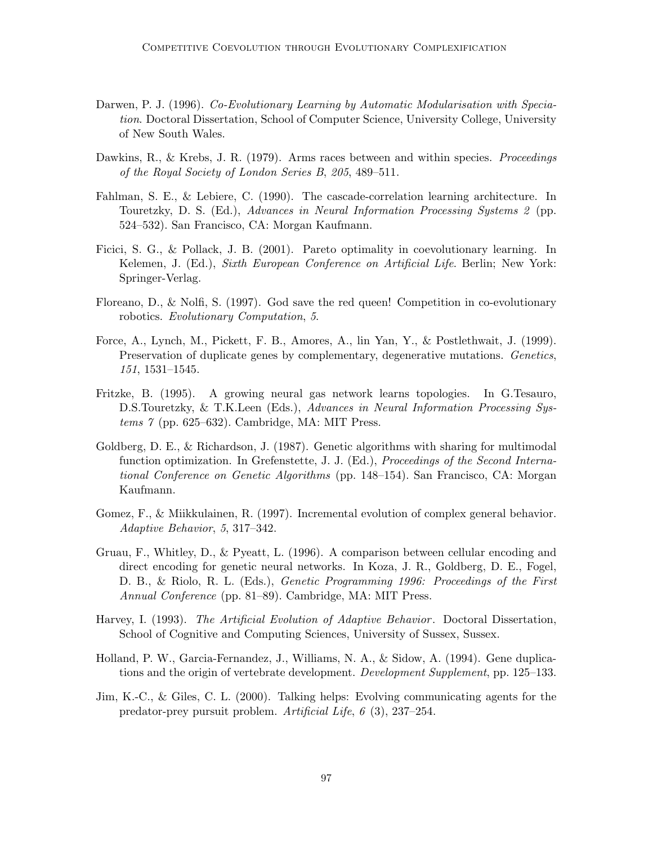- Darwen, P. J. (1996). Co-Evolutionary Learning by Automatic Modularisation with Speciation. Doctoral Dissertation, School of Computer Science, University College, University of New South Wales.
- Dawkins, R., & Krebs, J. R. (1979). Arms races between and within species. *Proceedings* of the Royal Society of London Series B, 205, 489–511.
- Fahlman, S. E., & Lebiere, C. (1990). The cascade-correlation learning architecture. In Touretzky, D. S. (Ed.), Advances in Neural Information Processing Systems 2 (pp. 524–532). San Francisco, CA: Morgan Kaufmann.
- Ficici, S. G., & Pollack, J. B. (2001). Pareto optimality in coevolutionary learning. In Kelemen, J. (Ed.), Sixth European Conference on Artificial Life. Berlin; New York: Springer-Verlag.
- Floreano, D., & Nolfi, S. (1997). God save the red queen! Competition in co-evolutionary robotics. Evolutionary Computation, 5.
- Force, A., Lynch, M., Pickett, F. B., Amores, A., lin Yan, Y., & Postlethwait, J. (1999). Preservation of duplicate genes by complementary, degenerative mutations. Genetics, 151, 1531–1545.
- Fritzke, B. (1995). A growing neural gas network learns topologies. In G.Tesauro, D.S.Touretzky, & T.K.Leen (Eds.), Advances in Neural Information Processing Systems 7 (pp. 625–632). Cambridge, MA: MIT Press.
- Goldberg, D. E., & Richardson, J. (1987). Genetic algorithms with sharing for multimodal function optimization. In Grefenstette, J. J. (Ed.), *Proceedings of the Second Interna*tional Conference on Genetic Algorithms (pp. 148–154). San Francisco, CA: Morgan Kaufmann.
- Gomez, F., & Miikkulainen, R. (1997). Incremental evolution of complex general behavior. Adaptive Behavior, 5, 317–342.
- Gruau, F., Whitley, D., & Pyeatt, L. (1996). A comparison between cellular encoding and direct encoding for genetic neural networks. In Koza, J. R., Goldberg, D. E., Fogel, D. B., & Riolo, R. L. (Eds.), Genetic Programming 1996: Proceedings of the First Annual Conference (pp. 81–89). Cambridge, MA: MIT Press.
- Harvey, I. (1993). The Artificial Evolution of Adaptive Behavior. Doctoral Dissertation, School of Cognitive and Computing Sciences, University of Sussex, Sussex.
- Holland, P. W., Garcia-Fernandez, J., Williams, N. A., & Sidow, A. (1994). Gene duplications and the origin of vertebrate development. Development Supplement, pp. 125–133.
- Jim, K.-C., & Giles, C. L. (2000). Talking helps: Evolving communicating agents for the predator-prey pursuit problem. Artificial Life, 6 (3), 237–254.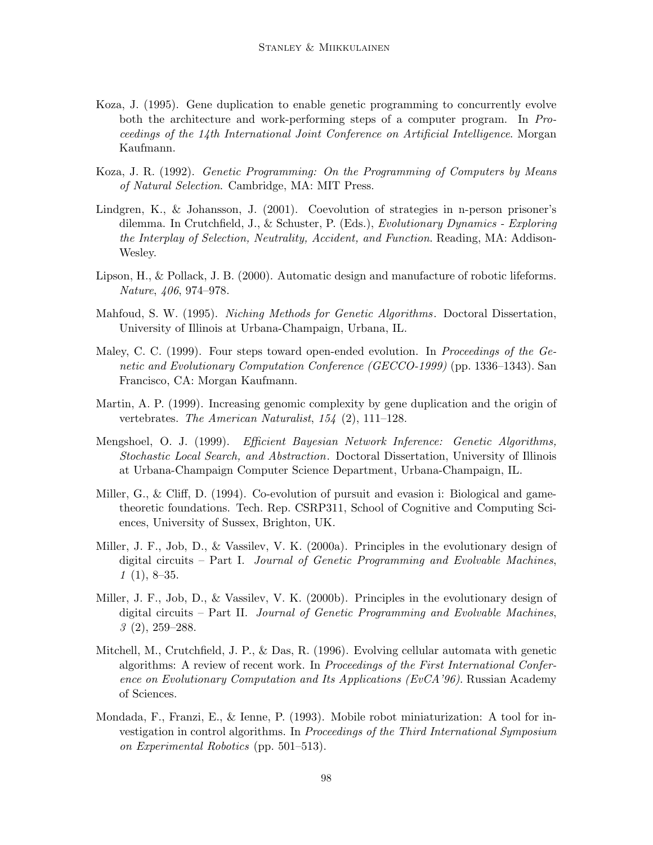- Koza, J. (1995). Gene duplication to enable genetic programming to concurrently evolve both the architecture and work-performing steps of a computer program. In Proceedings of the 14th International Joint Conference on Artificial Intelligence. Morgan Kaufmann.
- Koza, J. R. (1992). Genetic Programming: On the Programming of Computers by Means of Natural Selection. Cambridge, MA: MIT Press.
- Lindgren, K., & Johansson, J. (2001). Coevolution of strategies in n-person prisoner's dilemma. In Crutchfield, J., & Schuster, P. (Eds.), Evolutionary Dynamics - Exploring the Interplay of Selection, Neutrality, Accident, and Function. Reading, MA: Addison-Wesley.
- Lipson, H., & Pollack, J. B. (2000). Automatic design and manufacture of robotic lifeforms. Nature, 406, 974–978.
- Mahfoud, S. W. (1995). Niching Methods for Genetic Algorithms. Doctoral Dissertation, University of Illinois at Urbana-Champaign, Urbana, IL.
- Maley, C. C. (1999). Four steps toward open-ended evolution. In *Proceedings of the Ge*netic and Evolutionary Computation Conference (GECCO-1999) (pp. 1336–1343). San Francisco, CA: Morgan Kaufmann.
- Martin, A. P. (1999). Increasing genomic complexity by gene duplication and the origin of vertebrates. The American Naturalist, 154 (2), 111–128.
- Mengshoel, O. J. (1999). Efficient Bayesian Network Inference: Genetic Algorithms, Stochastic Local Search, and Abstraction. Doctoral Dissertation, University of Illinois at Urbana-Champaign Computer Science Department, Urbana-Champaign, IL.
- Miller, G., & Cliff, D. (1994). Co-evolution of pursuit and evasion i: Biological and gametheoretic foundations. Tech. Rep. CSRP311, School of Cognitive and Computing Sciences, University of Sussex, Brighton, UK.
- Miller, J. F., Job, D., & Vassilev, V. K. (2000a). Principles in the evolutionary design of digital circuits – Part I. Journal of Genetic Programming and Evolvable Machines,  $1(1), 8-35.$
- Miller, J. F., Job, D., & Vassilev, V. K. (2000b). Principles in the evolutionary design of digital circuits – Part II. Journal of Genetic Programming and Evolvable Machines, 3 (2), 259–288.
- Mitchell, M., Crutchfield, J. P., & Das, R. (1996). Evolving cellular automata with genetic algorithms: A review of recent work. In Proceedings of the First International Conference on Evolutionary Computation and Its Applications (EvCA'96). Russian Academy of Sciences.
- Mondada, F., Franzi, E., & Ienne, P. (1993). Mobile robot miniaturization: A tool for investigation in control algorithms. In Proceedings of the Third International Symposium on Experimental Robotics (pp. 501–513).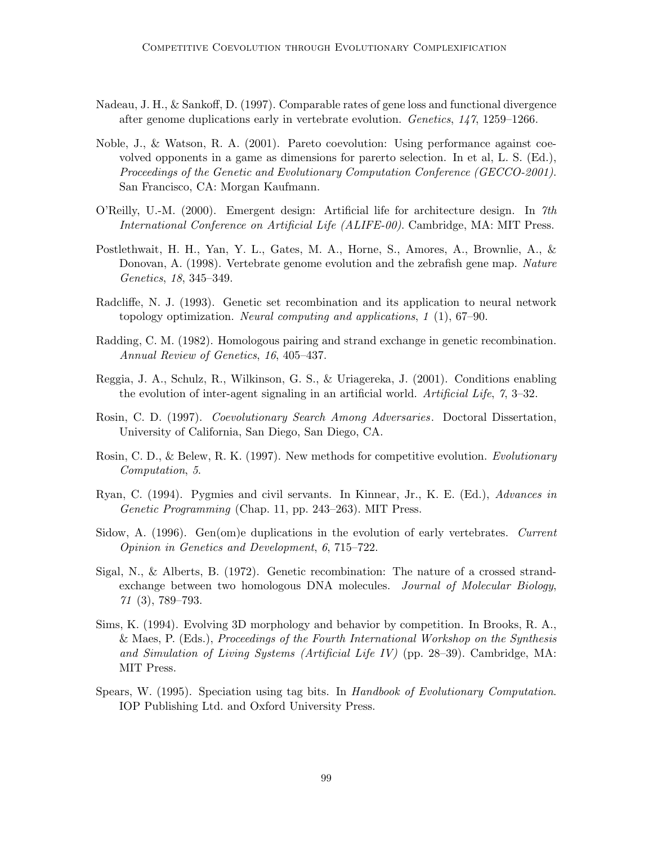- Nadeau, J. H., & Sankoff, D. (1997). Comparable rates of gene loss and functional divergence after genome duplications early in vertebrate evolution. Genetics, 147, 1259–1266.
- Noble, J., & Watson, R. A. (2001). Pareto coevolution: Using performance against coevolved opponents in a game as dimensions for parerto selection. In et al, L. S. (Ed.), Proceedings of the Genetic and Evolutionary Computation Conference (GECCO-2001). San Francisco, CA: Morgan Kaufmann.
- O'Reilly, U.-M. (2000). Emergent design: Artificial life for architecture design. In 7th International Conference on Artificial Life (ALIFE-00). Cambridge, MA: MIT Press.
- Postlethwait, H. H., Yan, Y. L., Gates, M. A., Horne, S., Amores, A., Brownlie, A., & Donovan, A. (1998). Vertebrate genome evolution and the zebrafish gene map. Nature Genetics, 18, 345–349.
- Radcliffe, N. J. (1993). Genetic set recombination and its application to neural network topology optimization. Neural computing and applications, 1 (1), 67–90.
- Radding, C. M. (1982). Homologous pairing and strand exchange in genetic recombination. Annual Review of Genetics, 16, 405–437.
- Reggia, J. A., Schulz, R., Wilkinson, G. S., & Uriagereka, J. (2001). Conditions enabling the evolution of inter-agent signaling in an artificial world. Artificial Life, 7, 3–32.
- Rosin, C. D. (1997). Coevolutionary Search Among Adversaries. Doctoral Dissertation, University of California, San Diego, San Diego, CA.
- Rosin, C. D., & Belew, R. K. (1997). New methods for competitive evolution. Evolutionary Computation, 5.
- Ryan, C. (1994). Pygmies and civil servants. In Kinnear, Jr., K. E. (Ed.), Advances in Genetic Programming (Chap. 11, pp. 243–263). MIT Press.
- Sidow, A. (1996). Gen(om)e duplications in the evolution of early vertebrates. Current Opinion in Genetics and Development, 6, 715–722.
- Sigal, N., & Alberts, B. (1972). Genetic recombination: The nature of a crossed strandexchange between two homologous DNA molecules. Journal of Molecular Biology, 71 (3), 789–793.
- Sims, K. (1994). Evolving 3D morphology and behavior by competition. In Brooks, R. A., & Maes, P. (Eds.), Proceedings of the Fourth International Workshop on the Synthesis and Simulation of Living Systems (Artificial Life IV) (pp. 28–39). Cambridge, MA: MIT Press.
- Spears, W. (1995). Speciation using tag bits. In Handbook of Evolutionary Computation. IOP Publishing Ltd. and Oxford University Press.